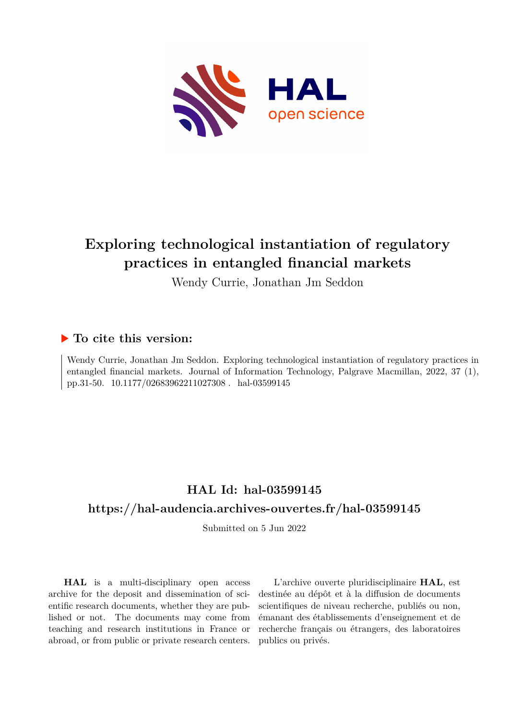

# **Exploring technological instantiation of regulatory practices in entangled financial markets**

Wendy Currie, Jonathan Jm Seddon

### **To cite this version:**

Wendy Currie, Jonathan Jm Seddon. Exploring technological instantiation of regulatory practices in entangled financial markets. Journal of Information Technology, Palgrave Macmillan, 2022, 37 (1), pp.31-50. 10.1177/02683962211027308. hal-03599145

# **HAL Id: hal-03599145 <https://hal-audencia.archives-ouvertes.fr/hal-03599145>**

Submitted on 5 Jun 2022

**HAL** is a multi-disciplinary open access archive for the deposit and dissemination of scientific research documents, whether they are published or not. The documents may come from teaching and research institutions in France or abroad, or from public or private research centers.

L'archive ouverte pluridisciplinaire **HAL**, est destinée au dépôt et à la diffusion de documents scientifiques de niveau recherche, publiés ou non, émanant des établissements d'enseignement et de recherche français ou étrangers, des laboratoires publics ou privés.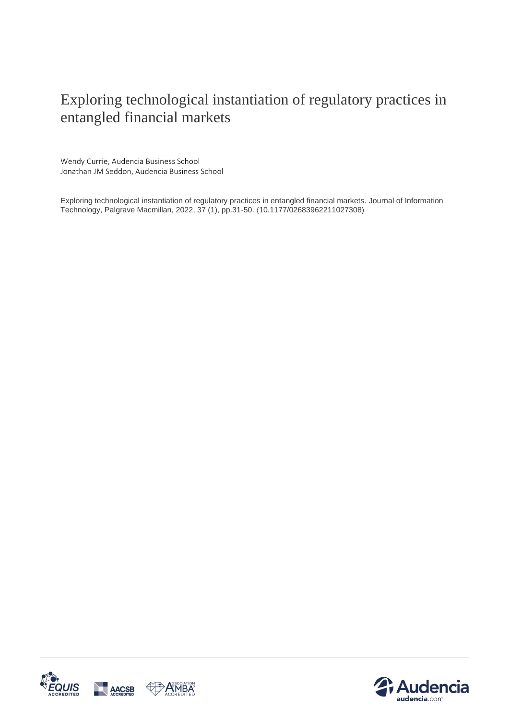# Exploring technological instantiation of regulatory practices in entangled financial markets

Wendy Currie, Audencia Business School Jonathan JM Seddon, Audencia Business School

Exploring technological instantiation of regulatory practices in entangled financial markets. Journal of Information Technology, Palgrave Macmillan, 2022, 37 (1), pp.31-50. ⟨10.1177/02683962211027308⟩



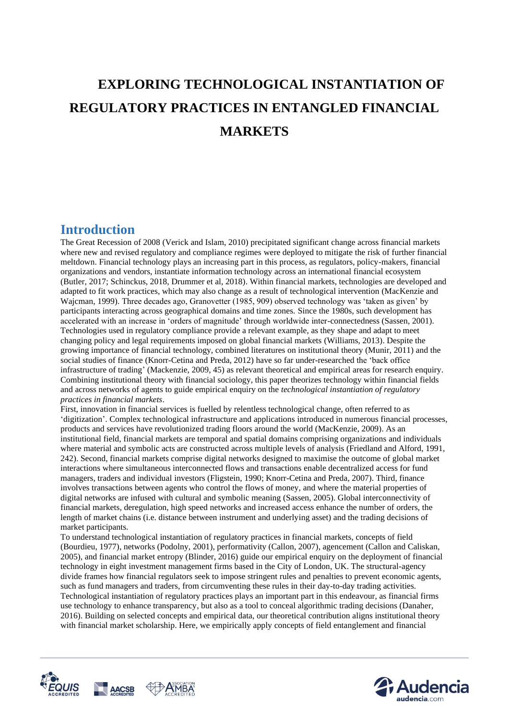# **EXPLORING TECHNOLOGICAL INSTANTIATION OF REGULATORY PRACTICES IN ENTANGLED FINANCIAL MARKETS**

### **Introduction**

The Great Recession of 2008 (Verick and Islam, 2010) precipitated significant change across financial markets where new and revised regulatory and compliance regimes were deployed to mitigate the risk of further financial meltdown. Financial technology plays an increasing part in this process, as regulators, policy-makers, financial organizations and vendors, instantiate information technology across an international financial ecosystem (Butler, 2017; Schinckus, 2018, Drummer et al, 2018). Within financial markets, technologies are developed and adapted to fit work practices, which may also change as a result of technological intervention (MacKenzie and Wajcman, 1999). Three decades ago, Granovetter (1985, 909) observed technology was 'taken as given' by participants interacting across geographical domains and time zones. Since the 1980s, such development has accelerated with an increase in 'orders of magnitude' through worldwide inter-connectedness (Sassen, 2001). Technologies used in regulatory compliance provide a relevant example, as they shape and adapt to meet changing policy and legal requirements imposed on global financial markets (Williams, 2013). Despite the growing importance of financial technology, combined literatures on institutional theory (Munir, 2011) and the social studies of finance (Knorr-Cetina and Preda, 2012) have so far under-researched the 'back office infrastructure of trading' (Mackenzie, 2009, 45) as relevant theoretical and empirical areas for research enquiry. Combining institutional theory with financial sociology, this paper theorizes technology within financial fields and across networks of agents to guide empirical enquiry on the *technological instantiation of regulatory practices in financial markets*.

First, innovation in financial services is fuelled by relentless technological change, often referred to as 'digitization'. Complex technological infrastructure and applications introduced in numerous financial processes, products and services have revolutionized trading floors around the world (MacKenzie, 2009). As an institutional field, financial markets are temporal and spatial domains comprising organizations and individuals where material and symbolic acts are constructed across multiple levels of analysis (Friedland and Alford, 1991, 242). Second, financial markets comprise digital networks designed to maximise the outcome of global market interactions where simultaneous interconnected flows and transactions enable decentralized access for fund managers, traders and individual investors (Fligstein, 1990; Knorr-Cetina and Preda, 2007). Third, finance involves transactions between agents who control the flows of money, and where the material properties of digital networks are infused with cultural and symbolic meaning (Sassen, 2005). Global interconnectivity of financial markets, deregulation, high speed networks and increased access enhance the number of orders, the length of market chains (i.e. distance between instrument and underlying asset) and the trading decisions of market participants.

To understand technological instantiation of regulatory practices in financial markets, concepts of field (Bourdieu, 1977), networks (Podolny, 2001), performativity (Callon, 2007), agencement (Callon and Caliskan, 2005), and financial market entropy (Blinder, 2016) guide our empirical enquiry on the deployment of financial technology in eight investment management firms based in the City of London, UK. The structural-agency divide frames how financial regulators seek to impose stringent rules and penalties to prevent economic agents, such as fund managers and traders, from circumventing these rules in their day-to-day trading activities. Technological instantiation of regulatory practices plays an important part in this endeavour, as financial firms use technology to enhance transparency, but also as a tool to conceal algorithmic trading decisions (Danaher, 2016). Building on selected concepts and empirical data, our theoretical contribution aligns institutional theory with financial market scholarship. Here, we empirically apply concepts of field entanglement and financial



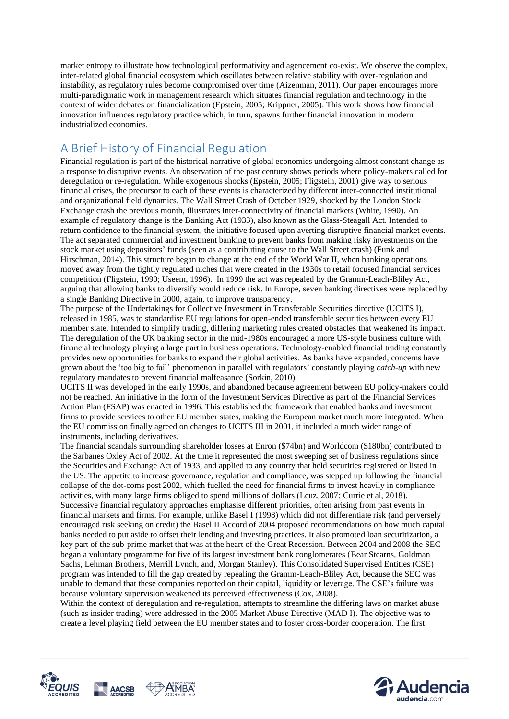market entropy to illustrate how technological performativity and agencement co-exist. We observe the complex, inter-related global financial ecosystem which oscillates between relative stability with over-regulation and instability, as regulatory rules become compromised over time (Aizenman, 2011). Our paper encourages more multi-paradigmatic work in management research which situates financial regulation and technology in the context of wider debates on financialization (Epstein, 2005; Krippner, 2005). This work shows how financial innovation influences regulatory practice which, in turn, spawns further financial innovation in modern industrialized economies.

### A Brief History of Financial Regulation

Financial regulation is part of the historical narrative of global economies undergoing almost constant change as a response to disruptive events. An observation of the past century shows periods where policy-makers called for deregulation or re-regulation. While exogenous shocks (Epstein, 2005; Fligstein, 2001) give way to serious financial crises, the precursor to each of these events is characterized by different inter-connected institutional and organizational field dynamics. The Wall Street Crash of October 1929, shocked by the London Stock Exchange crash the previous month, illustrates inter-connectivity of financial markets (White, 1990). An example of regulatory change is the Banking Act (1933), also known as the Glass-Steagall Act. Intended to return confidence to the financial system, the initiative focused upon averting disruptive financial market events. The act separated commercial and investment banking to prevent banks from making risky investments on the stock market using depositors' funds (seen as a contributing cause to the Wall Street crash) (Funk and Hirschman, 2014). This structure began to change at the end of the World War II, when banking operations moved away from the tightly regulated niches that were created in the 1930s to retail focused financial services competition (Fligstein, 1990; Useem, 1996). In 1999 the act was repealed by the Gramm-Leach-Bliley Act, arguing that allowing banks to diversify would reduce risk. In Europe, seven banking directives were replaced by a single Banking Directive in 2000, again, to improve transparency.

The purpose of the Undertakings for Collective Investment in Transferable Securities directive (UCITS I), released in 1985, was to standardise EU regulations for open-ended transferable securities between every EU member state. Intended to simplify trading, differing marketing rules created obstacles that weakened its impact. The deregulation of the UK banking sector in the mid-1980s encouraged a more US-style business culture with financial technology playing a large part in business operations. Technology-enabled financial trading constantly provides new opportunities for banks to expand their global activities. As banks have expanded, concerns have grown about the 'too big to fail' phenomenon in parallel with regulators' constantly playing *catch-up* with new regulatory mandates to prevent financial malfeasance (Sorkin, 2010).

UCITS II was developed in the early 1990s, and abandoned because agreement between EU policy-makers could not be reached. An initiative in the form of the Investment Services Directive as part of the Financial Services Action Plan (FSAP) was enacted in 1996. This established the framework that enabled banks and investment firms to provide services to other EU member states, making the European market much more integrated. When the EU commission finally agreed on changes to UCITS III in 2001, it included a much wider range of instruments, including derivatives.

The financial scandals surrounding shareholder losses at Enron (\$74bn) and Worldcom (\$180bn) contributed to the Sarbanes Oxley Act of 2002. At the time it represented the most sweeping set of business regulations since the Securities and Exchange Act of 1933, and applied to any country that held securities registered or listed in the US. The appetite to increase governance, regulation and compliance, was stepped up following the financial collapse of the dot-coms post 2002, which fuelled the need for financial firms to invest heavily in compliance activities, with many large firms obliged to spend millions of dollars (Leuz, 2007; Currie et al, 2018). Successive financial regulatory approaches emphasise different priorities, often arising from past events in financial markets and firms. For example, unlike Basel I (1998) which did not differentiate risk (and perversely encouraged risk seeking on credit) the Basel II Accord of 2004 proposed recommendations on how much capital banks needed to put aside to offset their lending and investing practices. It also promoted loan securitization, a key part of the sub-prime market that was at the heart of the Great Recession. Between 2004 and 2008 the SEC began a voluntary programme for five of its largest investment bank conglomerates (Bear Stearns, Goldman Sachs, Lehman Brothers, Merrill Lynch, and, Morgan Stanley). This Consolidated Supervised Entities (CSE) program was intended to fill the gap created by repealing the Gramm-Leach-Bliley Act, because the SEC was unable to demand that these companies reported on their capital, liquidity or leverage. The CSE's failure was because voluntary supervision weakened its perceived effectiveness (Cox, 2008).

Within the context of deregulation and re-regulation, attempts to streamline the differing laws on market abuse (such as insider trading) were addressed in the 2005 Market Abuse Directive (MAD I). The objective was to create a level playing field between the EU member states and to foster cross-border cooperation. The first



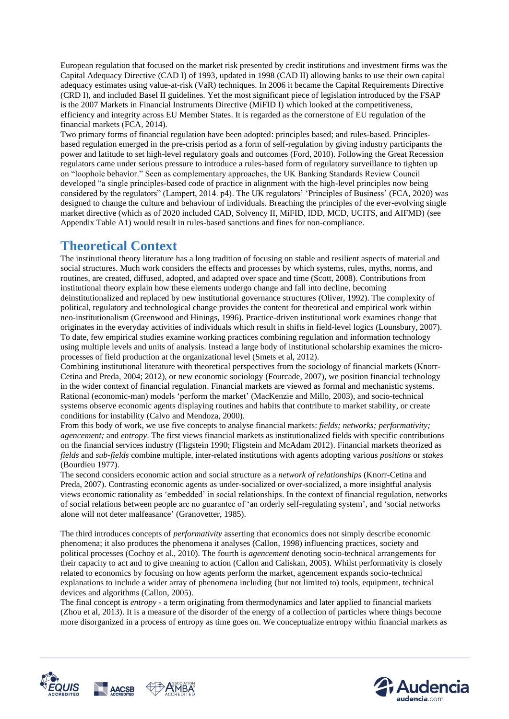European regulation that focused on the market risk presented by credit institutions and investment firms was the Capital Adequacy Directive (CAD I) of 1993, updated in 1998 (CAD II) allowing banks to use their own capital adequacy estimates using value-at-risk (VaR) techniques. In 2006 it became the Capital Requirements Directive (CRD I), and included Basel II guidelines. Yet the most significant piece of legislation introduced by the FSAP is the 2007 Markets in Financial Instruments Directive (MiFID I) which looked at the competitiveness, efficiency and integrity across EU Member States. It is regarded as the cornerstone of EU regulation of the financial markets (FCA, 2014).

Two primary forms of financial regulation have been adopted: principles based; and rules-based. Principlesbased regulation emerged in the pre-crisis period as a form of self-regulation by giving industry participants the power and latitude to set high-level regulatory goals and outcomes (Ford, 2010). Following the Great Recession regulators came under serious pressure to introduce a rules-based form of regulatory surveillance to tighten up on "loophole behavior." Seen as complementary approaches, the UK Banking Standards Review Council developed "a single principles-based code of practice in alignment with the high-level principles now being considered by the regulators" (Lampert, 2014. p4). The UK regulators' 'Principles of Business' (FCA, 2020) was designed to change the culture and behaviour of individuals. Breaching the principles of the ever-evolving single market directive (which as of 2020 included CAD, Solvency II, MiFID, IDD, MCD, UCITS, and AIFMD) (see Appendix Table A1) would result in rules-based sanctions and fines for non-compliance.

### **Theoretical Context**

The institutional theory literature has a long tradition of focusing on stable and resilient aspects of material and social structures. Much work considers the effects and processes by which systems, rules, myths, norms, and routines, are created, diffused, adopted, and adapted over space and time (Scott, 2008). Contributions from institutional theory explain how these elements undergo change and fall into decline, becoming deinstitutionalized and replaced by new institutional governance structures (Oliver, 1992). The complexity of political, regulatory and technological change provides the content for theoretical and empirical work within neo-institutionalism (Greenwood and Hinings, 1996). Practice-driven institutional work examines change that originates in the everyday activities of individuals which result in shifts in field-level logics (Lounsbury, 2007). To date, few empirical studies examine working practices combining regulation and information technology using multiple levels and units of analysis. Instead a large body of institutional scholarship examines the microprocesses of field production at the organizational level (Smets et al, 2012).

Combining institutional literature with theoretical perspectives from the sociology of financial markets (Knorr-Cetina and Preda, 2004; 2012), or new economic sociology (Fourcade, 2007), we position financial technology in the wider context of financial regulation. Financial markets are viewed as formal and mechanistic systems. Rational (economic-man) models 'perform the market' (MacKenzie and Millo, 2003), and socio-technical systems observe economic agents displaying routines and habits that contribute to market stability, or create conditions for instability (Calvo and Mendoza, 2000).

From this body of work, we use five concepts to analyse financial markets: *fields; networks; performativity; agencement;* and *entropy*. The first views financial markets as institutionalized fields with specific contributions on the financial services industry (Fligstein 1990; Fligstein and McAdam 2012). Financial markets theorized as *fields* and *sub-fields* combine multiple, inter-related institutions with agents adopting various *positions* or *stakes* (Bourdieu 1977).

The second considers economic action and social structure as a *network of relationships* (Knorr-Cetina and Preda, 2007). Contrasting economic agents as under-socialized or over-socialized, a more insightful analysis views economic rationality as 'embedded' in social relationships. In the context of financial regulation, networks of social relations between people are no guarantee of 'an orderly self-regulating system', and 'social networks alone will not deter malfeasance' (Granovetter, 1985).

The third introduces concepts of *performativity* asserting that economics does not simply describe economic phenomena; it also produces the phenomena it analyses (Callon, 1998) influencing practices, society and political processes (Cochoy et al., 2010). The fourth is *agencement* denoting socio-technical arrangements for their capacity to act and to give meaning to action (Callon and Caliskan, 2005). Whilst performativity is closely related to economics by focusing on how agents perform the market, agencement expands socio-technical explanations to include a wider array of phenomena including (but not limited to) tools, equipment, technical devices and algorithms (Callon, 2005).

The final concept is *entropy* - a term originating from thermodynamics and later applied to financial markets (Zhou et al, 2013). It is a measure of the disorder of the energy of a collection of particles where things become more disorganized in a process of entropy as time goes on. We conceptualize entropy within financial markets as



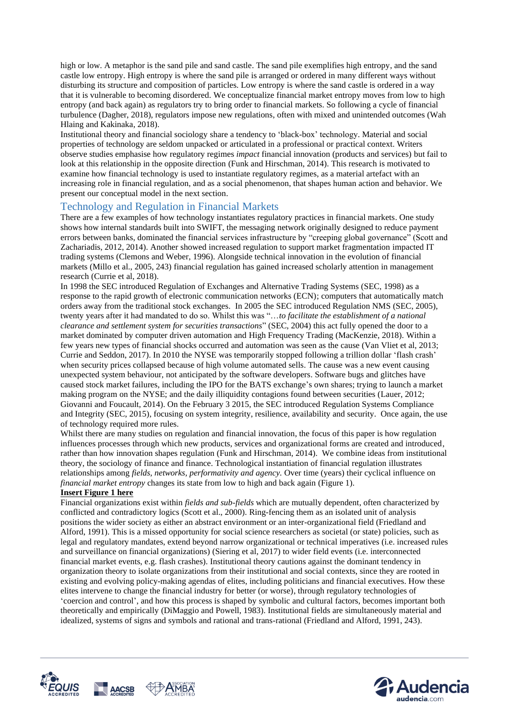high or low. A metaphor is the sand pile and sand castle. The sand pile exemplifies high entropy, and the sand castle low entropy. High entropy is where the sand pile is arranged or ordered in many different ways without disturbing its structure and composition of particles. Low entropy is where the sand castle is ordered in a way that it is vulnerable to becoming disordered. We conceptualize financial market entropy moves from low to high entropy (and back again) as regulators try to bring order to financial markets. So following a cycle of financial turbulence (Dagher, 2018), regulators impose new regulations, often with mixed and unintended outcomes (Wah Hlaing and Kakinaka, 2018).

Institutional theory and financial sociology share a tendency to 'black-box' technology. Material and social properties of technology are seldom unpacked or articulated in a professional or practical context. Writers observe studies emphasise how regulatory regimes *impact* financial innovation (products and services) but fail to look at this relationship in the opposite direction (Funk and Hirschman, 2014). This research is motivated to examine how financial technology is used to instantiate regulatory regimes, as a material artefact with an increasing role in financial regulation, and as a social phenomenon, that shapes human action and behavior. We present our conceptual model in the next section.

### Technology and Regulation in Financial Markets

There are a few examples of how technology instantiates regulatory practices in financial markets. One study shows how internal standards built into SWIFT, the messaging network originally designed to reduce payment errors between banks, dominated the financial services infrastructure by "creeping global governance" (Scott and Zachariadis, 2012, 2014). Another showed increased regulation to support market fragmentation impacted IT trading systems (Clemons and Weber, 1996). Alongside technical innovation in the evolution of financial markets (Millo et al., 2005, 243) financial regulation has gained increased scholarly attention in management research (Currie et al, 2018).

In 1998 the SEC introduced Regulation of Exchanges and Alternative Trading Systems (SEC, 1998) as a response to the rapid growth of electronic communication networks (ECN); computers that automatically match orders away from the traditional stock exchanges. In 2005 the SEC introduced Regulation NMS (SEC, 2005), twenty years after it had mandated to do so. Whilst this was "…*to facilitate the establishment of a national clearance and settlement system for securities transactions*" (SEC, 2004) this act fully opened the door to a market dominated by computer driven automation and High Frequency Trading (MacKenzie, 2018). Within a few years new types of financial shocks occurred and automation was seen as the cause (Van Vliet et al, 2013; Currie and Seddon, 2017). In 2010 the NYSE was temporarily stopped following a trillion dollar 'flash crash' when security prices collapsed because of high volume automated sells. The cause was a new event causing unexpected system behaviour, not anticipated by the software developers. Software bugs and glitches have caused stock market failures, including the IPO for the BATS exchange's own shares; trying to launch a market making program on the NYSE; and the daily illiquidity contagions found between securities (Lauer, 2012; Giovanni and Foucault, 2014). On the February 3 2015, the SEC introduced Regulation Systems Compliance and Integrity (SEC, 2015), focusing on system integrity, resilience, availability and security. Once again, the use of technology required more rules.

Whilst there are many studies on regulation and financial innovation, the focus of this paper is how regulation influences processes through which new products, services and organizational forms are created and introduced, rather than how innovation shapes regulation (Funk and Hirschman, 2014). We combine ideas from institutional theory, the sociology of finance and finance. Technological instantiation of financial regulation illustrates relationships among *fields, networks, performativity and agency.* Over time (years) their cyclical influence on *financial market entropy* changes its state from low to high and back again (Figure 1).

#### **Insert Figure 1 here**

Financial organizations exist within *fields and sub-fields* which are mutually dependent, often characterized by conflicted and contradictory logics (Scott et al., 2000). Ring-fencing them as an isolated unit of analysis positions the wider society as either an abstract environment or an inter-organizational field (Friedland and Alford, 1991). This is a missed opportunity for social science researchers as societal (or state) policies, such as legal and regulatory mandates, extend beyond narrow organizational or technical imperatives (i.e. increased rules and surveillance on financial organizations) (Siering et al, 2017) to wider field events (i.e. interconnected financial market events, e.g. flash crashes). Institutional theory cautions against the dominant tendency in organization theory to isolate organizations from their institutional and social contexts, since they are rooted in existing and evolving policy-making agendas of elites, including politicians and financial executives. How these elites intervene to change the financial industry for better (or worse), through regulatory technologies of 'coercion and control', and how this process is shaped by symbolic and cultural factors, becomes important both theoretically and empirically (DiMaggio and Powell, 1983). Institutional fields are simultaneously material and idealized, systems of signs and symbols and rational and trans-rational (Friedland and Alford, 1991, 243).



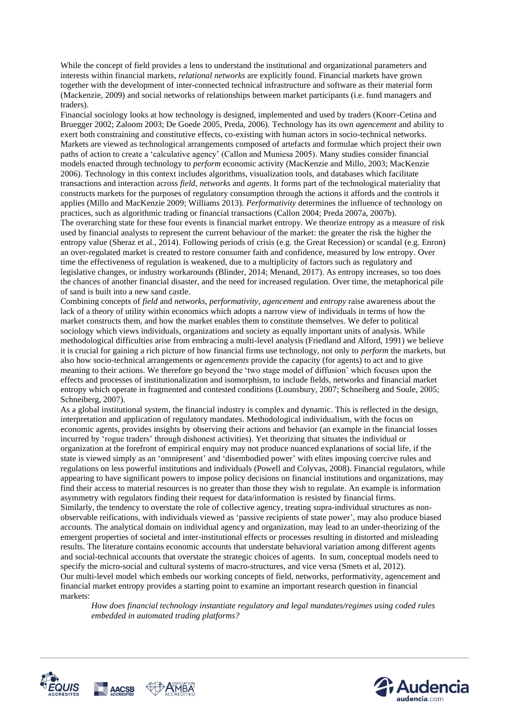While the concept of field provides a lens to understand the institutional and organizational parameters and interests within financial markets, *relational networks* are explicitly found. Financial markets have grown together with the development of inter-connected technical infrastructure and software as their material form (Mackenzie, 2009) and social networks of relationships between market participants (i.e. fund managers and traders).

Financial sociology looks at how technology is designed, implemented and used by traders (Knorr-Cetina and Bruegger 2002; Zaloom 2003; De Goede 2005, Preda, 2006). Technology has its own *agencement* and ability to exert both constraining and constitutive effects, co-existing with human actors in socio-technical networks. Markets are viewed as technological arrangements composed of artefacts and formulae which project their own paths of action to create a 'calculative agency' (Callon and Muniesa 2005). Many studies consider financial models enacted through technology to *perform* economic activity (MacKenzie and Millo, 2003; MacKenzie 2006). Technology in this context includes algorithms, visualization tools, and databases which facilitate transactions and interaction across *field*, *networks* and *agents*. It forms part of the technological materiality that constructs markets for the purposes of regulatory consumption through the actions it affords and the controls it applies (Millo and MacKenzie 2009; Williams 2013). *Performativity* determines the influence of technology on practices, such as algorithmic trading or financial transactions (Callon 2004; Preda 2007a, 2007b). The overarching state for these four events is financial market entropy. We theorize entropy as a measure of risk used by financial analysts to represent the current behaviour of the market: the greater the risk the higher the entropy value (Sheraz et al., 2014). Following periods of crisis (e.g. the Great Recession) or scandal (e.g. Enron) an over-regulated market is created to restore consumer faith and confidence, measured by low entropy. Over time the effectiveness of regulation is weakened, due to a multiplicity of factors such as regulatory and legislative changes, or industry workarounds (Blinder, 2014; Menand, 2017). As entropy increases, so too does the chances of another financial disaster, and the need for increased regulation. Over time, the metaphorical pile of sand is built into a new sand castle.

Combining concepts of *field* and *networks*, *performativity, agencement* and *entropy* raise awareness about the lack of a theory of utility within economics which adopts a narrow view of individuals in terms of how the market constructs them, and how the market enables them to constitute themselves. We defer to political sociology which views individuals, organizations and society as equally important units of analysis. While methodological difficulties arise from embracing a multi-level analysis (Friedland and Alford, 1991) we believe it is crucial for gaining a rich picture of how financial firms use technology, not only to *perform* the markets, but also how socio-technical arrangements or *agencements* provide the capacity (for agents) to act and to give meaning to their actions. We therefore go beyond the 'two stage model of diffusion' which focuses upon the effects and processes of institutionalization and isomorphism, to include fields, networks and financial market entropy which operate in fragmented and contested conditions (Lounsbury, 2007; Schneiberg and Soule, 2005; Schneiberg, 2007).

As a global institutional system, the financial industry is complex and dynamic. This is reflected in the design, interpretation and application of regulatory mandates. Methodological individualism, with the focus on economic agents, provides insights by observing their actions and behavior (an example in the financial losses incurred by 'rogue traders' through dishonest activities). Yet theorizing that situates the individual or organization at the forefront of empirical enquiry may not produce nuanced explanations of social life, if the state is viewed simply as an 'omnipresent' and 'disembodied power' with elites imposing coercive rules and regulations on less powerful institutions and individuals (Powell and Colyvas, 2008). Financial regulators, while appearing to have significant powers to impose policy decisions on financial institutions and organizations, may find their access to material resources is no greater than those they wish to regulate. An example is information asymmetry with regulators finding their request for data/information is resisted by financial firms. Similarly, the tendency to overstate the role of collective agency, treating supra-individual structures as nonobservable reifications, with individuals viewed as 'passive recipients of state power', may also produce biased accounts. The analytical domain on individual agency and organization, may lead to an under-theorizing of the emergent properties of societal and inter-institutional effects or processes resulting in distorted and misleading results. The literature contains economic accounts that understate behavioral variation among different agents and social-technical accounts that overstate the strategic choices of agents. In sum, conceptual models need to specify the micro-social and cultural systems of macro-structures, and vice versa (Smets et al, 2012). Our multi-level model which embeds our working concepts of field, networks, performativity, agencement and financial market entropy provides a starting point to examine an important research question in financial markets:

*How does financial technology instantiate regulatory and legal mandates/regimes using coded rules embedded in automated trading platforms?*



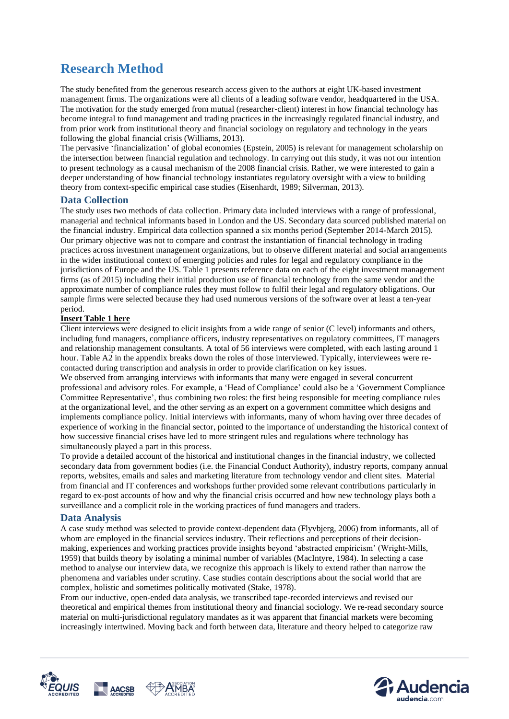## **Research Method**

The study benefited from the generous research access given to the authors at eight UK-based investment management firms. The organizations were all clients of a leading software vendor, headquartered in the USA. The motivation for the study emerged from mutual (researcher-client) interest in how financial technology has become integral to fund management and trading practices in the increasingly regulated financial industry, and from prior work from institutional theory and financial sociology on regulatory and technology in the years following the global financial crisis (Williams, 2013).

The pervasive 'financialization' of global economies (Epstein, 2005) is relevant for management scholarship on the intersection between financial regulation and technology. In carrying out this study, it was not our intention to present technology as a causal mechanism of the 2008 financial crisis. Rather, we were interested to gain a deeper understanding of how financial technology instantiates regulatory oversight with a view to building theory from context-specific empirical case studies (Eisenhardt, 1989; Silverman, 2013).

### **Data Collection**

The study uses two methods of data collection. Primary data included interviews with a range of professional, managerial and technical informants based in London and the US. Secondary data sourced published material on the financial industry. Empirical data collection spanned a six months period (September 2014-March 2015). Our primary objective was not to compare and contrast the instantiation of financial technology in trading practices across investment management organizations, but to observe different material and social arrangements in the wider institutional context of emerging policies and rules for legal and regulatory compliance in the jurisdictions of Europe and the US. Table 1 presents reference data on each of the eight investment management firms (as of 2015) including their initial production use of financial technology from the same vendor and the approximate number of compliance rules they must follow to fulfil their legal and regulatory obligations. Our sample firms were selected because they had used numerous versions of the software over at least a ten-year period.

#### **Insert Table 1 here**

Client interviews were designed to elicit insights from a wide range of senior (C level) informants and others, including fund managers, compliance officers, industry representatives on regulatory committees, IT managers and relationship management consultants. A total of 56 interviews were completed, with each lasting around 1 hour. Table A2 in the appendix breaks down the roles of those interviewed. Typically, interviewees were recontacted during transcription and analysis in order to provide clarification on key issues.

We observed from arranging interviews with informants that many were engaged in several concurrent professional and advisory roles. For example, a 'Head of Compliance' could also be a 'Government Compliance Committee Representative', thus combining two roles: the first being responsible for meeting compliance rules at the organizational level, and the other serving as an expert on a government committee which designs and implements compliance policy. Initial interviews with informants, many of whom having over three decades of experience of working in the financial sector, pointed to the importance of understanding the historical context of how successive financial crises have led to more stringent rules and regulations where technology has simultaneously played a part in this process.

To provide a detailed account of the historical and institutional changes in the financial industry, we collected secondary data from government bodies (i.e. the Financial Conduct Authority), industry reports, company annual reports, websites, emails and sales and marketing literature from technology vendor and client sites. Material from financial and IT conferences and workshops further provided some relevant contributions particularly in regard to ex-post accounts of how and why the financial crisis occurred and how new technology plays both a surveillance and a complicit role in the working practices of fund managers and traders.

#### **Data Analysis**

A case study method was selected to provide context-dependent data (Flyvbjerg, 2006) from informants, all of whom are employed in the financial services industry. Their reflections and perceptions of their decisionmaking, experiences and working practices provide insights beyond 'abstracted empiricism' (Wright-Mills, 1959) that builds theory by isolating a minimal number of variables (MacIntyre, 1984). In selecting a case method to analyse our interview data, we recognize this approach is likely to extend rather than narrow the phenomena and variables under scrutiny. Case studies contain descriptions about the social world that are complex, holistic and sometimes politically motivated (Stake, 1978).

From our inductive, open-ended data analysis, we transcribed tape-recorded interviews and revised our theoretical and empirical themes from institutional theory and financial sociology. We re-read secondary source material on multi-jurisdictional regulatory mandates as it was apparent that financial markets were becoming increasingly intertwined. Moving back and forth between data, literature and theory helped to categorize raw



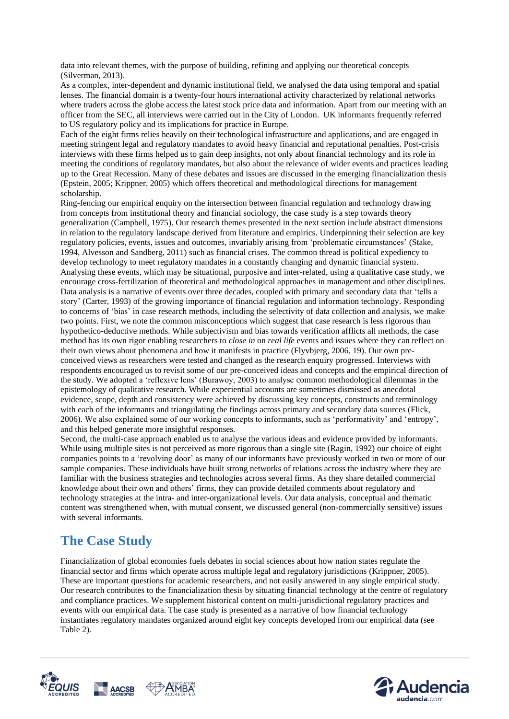data into relevant themes, with the purpose of building, refining and applying our theoretical concepts (Silverman, 2013).

As a complex, inter-dependent and dynamic institutional field, we analysed the data using temporal and spatial lenses. The financial domain is a twenty-four hours international activity characterized by relational networks where traders across the globe access the latest stock price data and information. Apart from our meeting with an officer from the SEC, all interviews were carried out in the City of London. UK informants frequently referred to US regulatory policy and its implications for practice in Europe.

Each of the eight firms relies heavily on their technological infrastructure and applications, and are engaged in meeting stringent legal and regulatory mandates to avoid heavy financial and reputational penalties. Post-crisis interviews with these firms helped us to gain deep insights, not only about financial technology and its role in meeting the conditions of regulatory mandates, but also about the relevance of wider events and practices leading up to the Great Recession. Many of these debates and issues are discussed in the emerging financialization thesis (Epstein, 2005; Krippner, 2005) which offers theoretical and methodological directions for management scholarship.

Ring-fencing our empirical enquiry on the intersection between financial regulation and technology drawing from concepts from institutional theory and financial sociology, the case study is a step towards theory generalization (Campbell, 1975). Our research themes presented in the next section include abstract dimensions in relation to the regulatory landscape derived from literature and empirics. Underpinning their selection are key regulatory policies, events, issues and outcomes, invariably arising from 'problematic circumstances' (Stake, 1994, Alvesson and Sandberg, 2011) such as financial crises. The common thread is political expediency to develop technology to meet regulatory mandates in a constantly changing and dynamic financial system. Analysing these events, which may be situational, purposive and inter-related, using a qualitative case study, we encourage cross-fertilization of theoretical and methodological approaches in management and other disciplines. Data analysis is a narrative of events over three decades, coupled with primary and secondary data that 'tells a story' (Carter, 1993) of the growing importance of financial regulation and information technology. Responding to concerns of 'bias' in case research methods, including the selectivity of data collection and analysis, we make two points. First, we note the common misconceptions which suggest that case research is less rigorous than hypothetico-deductive methods. While subjectivism and bias towards verification afflicts all methods, the case method has its own rigor enabling researchers to *close in* on *real life* events and issues where they can reflect on their own views about phenomena and how it manifests in practice (Flyvbjerg, 2006, 19). Our own preconceived views as researchers were tested and changed as the research enquiry progressed. Interviews with respondents encouraged us to revisit some of our pre-conceived ideas and concepts and the empirical direction of the study. We adopted a 'reflexive lens' (Burawoy, 2003) to analyse common methodological dilemmas in the epistemology of qualitative research. While experiential accounts are sometimes dismissed as anecdotal evidence, scope, depth and consistency were achieved by discussing key concepts, constructs and terminology with each of the informants and triangulating the findings across primary and secondary data sources (Flick, 2006). We also explained some of our working concepts to informants, such as 'performativity' and 'entropy', and this helped generate more insightful responses.

Second, the multi-case approach enabled us to analyse the various ideas and evidence provided by informants. While using multiple sites is not perceived as more rigorous than a single site (Ragin, 1992) our choice of eight companies points to a 'revolving door' as many of our informants have previously worked in two or more of our sample companies. These individuals have built strong networks of relations across the industry where they are familiar with the business strategies and technologies across several firms. As they share detailed commercial knowledge about their own and others' firms, they can provide detailed comments about regulatory and technology strategies at the intra- and inter-organizational levels. Our data analysis, conceptual and thematic content was strengthened when, with mutual consent, we discussed general (non-commercially sensitive) issues with several informants.

### **The Case Study**

Financialization of global economies fuels debates in social sciences about how nation states regulate the financial sector and firms which operate across multiple legal and regulatory jurisdictions (Krippner, 2005). These are important questions for academic researchers, and not easily answered in any single empirical study. Our research contributes to the financialization thesis by situating financial technology at the centre of regulatory and compliance practices. We supplement historical content on multi-jurisdictional regulatory practices and events with our empirical data. The case study is presented as a narrative of how financial technology instantiates regulatory mandates organized around eight key concepts developed from our empirical data (see Table 2).



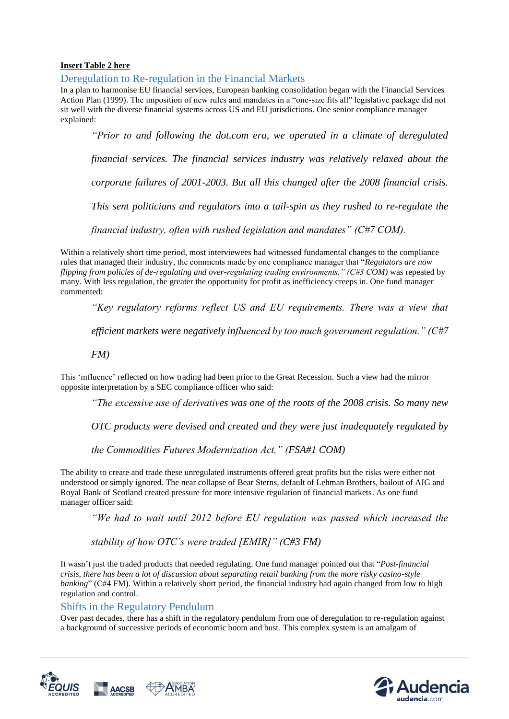#### **Insert Table 2 here**

Deregulation to Re-regulation in the Financial Markets

In a plan to harmonise EU financial services, European banking consolidation began with the Financial Services Action Plan (1999). The imposition of new rules and mandates in a "one-size fits all" legislative package did not sit well with the diverse financial systems across US and EU jurisdictions. One senior compliance manager explained:

*"Prior to and following the dot.com era, we operated in a climate of deregulated financial services. The financial services industry was relatively relaxed about the corporate failures of 2001-2003. But all this changed after the 2008 financial crisis. This sent politicians and regulators into a tail-spin as they rushed to re-regulate the financial industry, often with rushed legislation and mandates" (C#7 COM).*

Within a relatively short time period, most interviewees had witnessed fundamental changes to the compliance rules that managed their industry, the comments made by one compliance manager that "*Regulators are now flipping from policies of de-regulating and over-regulating trading environments." (C#3 COM)* was repeated by many. With less regulation, the greater the opportunity for profit as inefficiency creeps in. One fund manager commented:

*"Key regulatory reforms reflect US and EU requirements. There was a view that* 

*efficient markets were negatively influenced by too much government regulation." (C#7* 

*FM)* 

This 'influence' reflected on how trading had been prior to the Great Recession. Such a view had the mirror opposite interpretation by a SEC compliance officer who said:

*"The excessive use of derivatives was one of the roots of the 2008 crisis. So many new* 

*OTC products were devised and created and they were just inadequately regulated by* 

*the Commodities Futures Modernization Act." (FSA#1 COM)* 

The ability to create and trade these unregulated instruments offered great profits but the risks were either not understood or simply ignored. The near collapse of Bear Sterns, default of Lehman Brothers, bailout of AIG and Royal Bank of Scotland created pressure for more intensive regulation of financial markets. As one fund manager officer said:

*"We had to wait until 2012 before EU regulation was passed which increased the* 

*stability of how OTC's were traded [EMIR]" (C#3 FM)* 

It wasn't just the traded products that needed regulating. One fund manager pointed out that "*Post-financial crisis, there has been a lot of discussion about separating retail banking from the more risky casino-style banking*" (C#4 FM). Within a relatively short period, the financial industry had again changed from low to high regulation and control.

### Shifts in the Regulatory Pendulum

Over past decades, there has a shift in the regulatory pendulum from one of deregulation to re-regulation against a background of successive periods of economic boom and bust. This complex system is an amalgam of



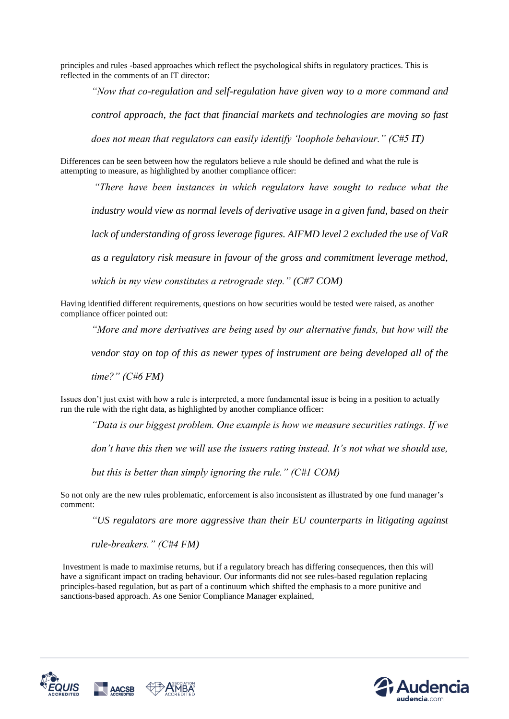principles and rules -based approaches which reflect the psychological shifts in regulatory practices. This is reflected in the comments of an IT director:

*"Now that co-regulation and self-regulation have given way to a more command and* 

*control approach, the fact that financial markets and technologies are moving so fast* 

*does not mean that regulators can easily identify 'loophole behaviour." (C#5 IT)*

Differences can be seen between how the regulators believe a rule should be defined and what the rule is attempting to measure, as highlighted by another compliance officer:

*"There have been instances in which regulators have sought to reduce what the* 

*industry would view as normal levels of derivative usage in a given fund, based on their* 

*lack of understanding of gross leverage figures. AIFMD level 2 excluded the use of VaR* 

*as a regulatory risk measure in favour of the gross and commitment leverage method,* 

*which in my view constitutes a retrograde step." (C#7 COM)*

Having identified different requirements, questions on how securities would be tested were raised, as another compliance officer pointed out:

*"More and more derivatives are being used by our alternative funds, but how will the* 

*vendor stay on top of this as newer types of instrument are being developed all of the* 

*time?" (C#6 FM)*

Issues don't just exist with how a rule is interpreted, a more fundamental issue is being in a position to actually run the rule with the right data, as highlighted by another compliance officer:

*"Data is our biggest problem. One example is how we measure securities ratings. If we* 

*don't have this then we will use the issuers rating instead. It's not what we should use,* 

*but this is better than simply ignoring the rule." (C#1 COM)*

So not only are the new rules problematic, enforcement is also inconsistent as illustrated by one fund manager's comment:

*"US regulators are more aggressive than their EU counterparts in litigating against* 

*rule-breakers." (C#4 FM)*

Investment is made to maximise returns, but if a regulatory breach has differing consequences, then this will have a significant impact on trading behaviour. Our informants did not see rules-based regulation replacing principles-based regulation, but as part of a continuum which shifted the emphasis to a more punitive and sanctions-based approach. As one Senior Compliance Manager explained,



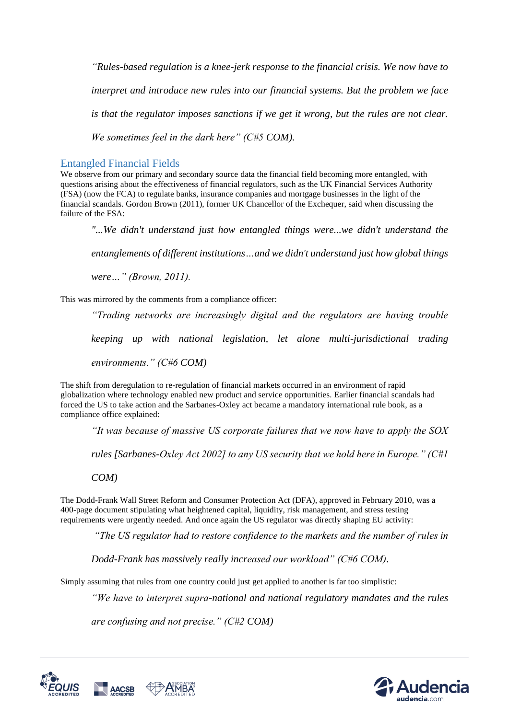*"Rules-based regulation is a knee-jerk response to the financial crisis. We now have to interpret and introduce new rules into our financial systems. But the problem we face is that the regulator imposes sanctions if we get it wrong, but the rules are not clear. We sometimes feel in the dark here" (C#5 COM).*

### Entangled Financial Fields

We observe from our primary and secondary source data the financial field becoming more entangled, with questions arising about the effectiveness of financial regulators, such as the UK Financial Services Authority (FSA) (now the FCA) to regulate banks, insurance companies and mortgage businesses in the light of the financial scandals. Gordon Brown (2011), former UK Chancellor of the Exchequer, said when discussing the failure of the FSA:

*"...We didn't understand just how entangled things were...we didn't understand the* 

*entanglements of different institutions…and we didn't understand just how global things* 

*were…" (Brown, 2011).* 

This was mirrored by the comments from a compliance officer:

*"Trading networks are increasingly digital and the regulators are having trouble keeping up with national legislation, let alone multi-jurisdictional trading environments." (C#6 COM)*

The shift from deregulation to re-regulation of financial markets occurred in an environment of rapid globalization where technology enabled new product and service opportunities. Earlier financial scandals had forced the US to take action and the Sarbanes-Oxley act became a mandatory international rule book, as a compliance office explained:

*"It was because of massive US corporate failures that we now have to apply the SOX* 

*rules [Sarbanes-Oxley Act 2002] to any US security that we hold here in Europe." (C#1* 

*COM)*

The Dodd-Frank Wall Street Reform and Consumer Protection Act (DFA), approved in February 2010, was a 400-page document stipulating what heightened capital, liquidity, risk management, and stress testing requirements were urgently needed. And once again the US regulator was directly shaping EU activity:

*"The US regulator had to restore confidence to the markets and the number of rules in* 

*Dodd-Frank has massively really increased our workload" (C#6 COM).* 

Simply assuming that rules from one country could just get applied to another is far too simplistic:

*"We have to interpret supra-national and national regulatory mandates and the rules* 

*are confusing and not precise." (C#2 COM)*



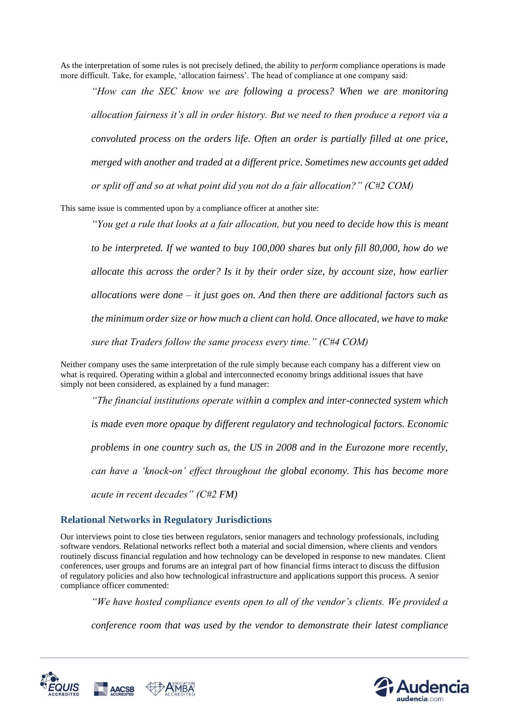As the interpretation of some rules is not precisely defined, the ability to *perform* compliance operations is made more difficult. Take, for example, 'allocation fairness'. The head of compliance at one company said:

*"How can the SEC know we are following a process? When we are monitoring allocation fairness it's all in order history. But we need to then produce a report via a convoluted process on the orders life. Often an order is partially filled at one price, merged with another and traded at a different price. Sometimes new accounts get added or split off and so at what point did you not do a fair allocation?" (C#2 COM)*

This same issue is commented upon by a compliance officer at another site:

*"You get a rule that looks at a fair allocation, but you need to decide how this is meant to be interpreted. If we wanted to buy 100,000 shares but only fill 80,000, how do we allocate this across the order? Is it by their order size, by account size, how earlier allocations were done – it just goes on. And then there are additional factors such as the minimum order size or how much a client can hold. Once allocated, we have to make sure that Traders follow the same process every time." (C#4 COM)* 

Neither company uses the same interpretation of the rule simply because each company has a different view on what is required. Operating within a global and interconnected economy brings additional issues that have simply not been considered, as explained by a fund manager:

*"The financial institutions operate within a complex and inter-connected system which is made even more opaque by different regulatory and technological factors. Economic problems in one country such as, the US in 2008 and in the Eurozone more recently, can have a 'knock-on' effect throughout the global economy. This has become more acute in recent decades" (C#2 FM)*

### **Relational Networks in Regulatory Jurisdictions**

Our interviews point to close ties between regulators, senior managers and technology professionals, including software vendors. Relational networks reflect both a material and social dimension, where clients and vendors routinely discuss financial regulation and how technology can be developed in response to new mandates. Client conferences, user groups and forums are an integral part of how financial firms interact to discuss the diffusion of regulatory policies and also how technological infrastructure and applications support this process. A senior compliance officer commented:

*"We have hosted compliance events open to all of the vendor's clients. We provided a* 

*conference room that was used by the vendor to demonstrate their latest compliance* 



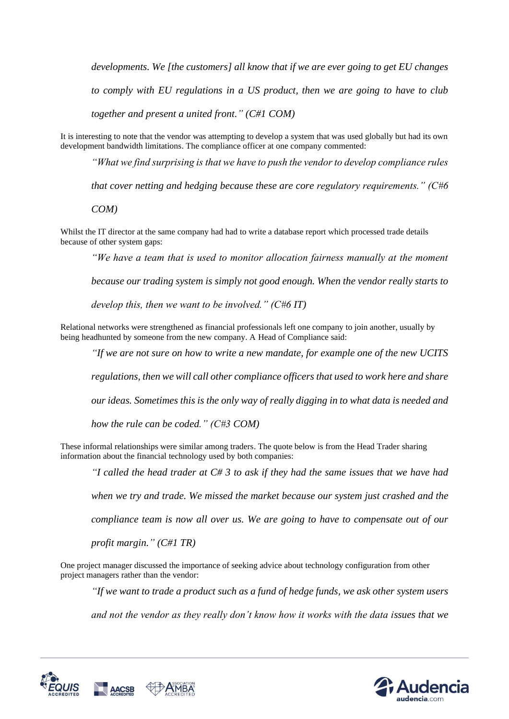*developments. We [the customers] all know that if we are ever going to get EU changes to comply with EU regulations in a US product, then we are going to have to club together and present a united front." (C#1 COM)*

It is interesting to note that the vendor was attempting to develop a system that was used globally but had its own development bandwidth limitations. The compliance officer at one company commented:

*"What we find surprising is that we have to push the vendor to develop compliance rules* 

*that cover netting and hedging because these are core regulatory requirements." (C#6*

*COM)*

Whilst the IT director at the same company had had to write a database report which processed trade details because of other system gaps:

*"We have a team that is used to monitor allocation fairness manually at the moment*

*because our trading system is simply not good enough. When the vendor really starts to* 

*develop this, then we want to be involved." (C#6 IT)*

Relational networks were strengthened as financial professionals left one company to join another, usually by being headhunted by someone from the new company. A Head of Compliance said:

*"If we are not sure on how to write a new mandate, for example one of the new UCITS* 

*regulations, then we will call other compliance officers that used to work here and share* 

*our ideas. Sometimes this is the only way of really digging in to what data is needed and* 

*how the rule can be coded." (C#3 COM)*

These informal relationships were similar among traders. The quote below is from the Head Trader sharing information about the financial technology used by both companies:

*"I called the head trader at C# 3 to ask if they had the same issues that we have had* 

*when we try and trade. We missed the market because our system just crashed and the* 

*compliance team is now all over us. We are going to have to compensate out of our* 

*profit margin." (C#1 TR)*

One project manager discussed the importance of seeking advice about technology configuration from other project managers rather than the vendor:

*"If we want to trade a product such as a fund of hedge funds, we ask other system users* 

*and not the vendor as they really don't know how it works with the data issues that we* 



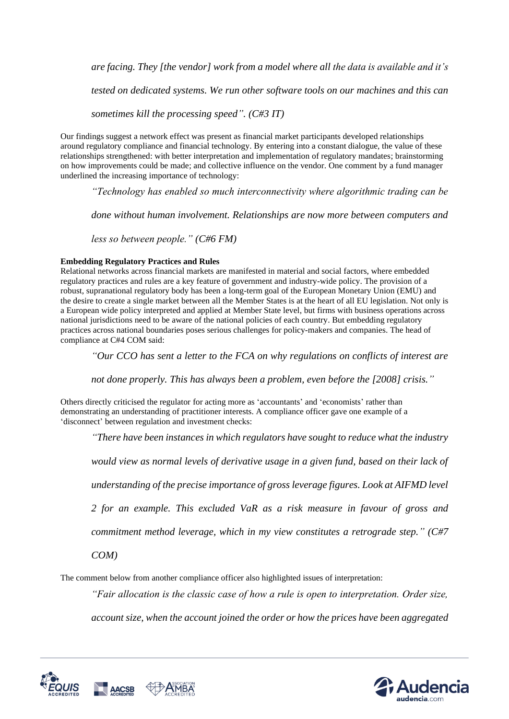*are facing. They [the vendor] work from a model where all the data is available and it's* 

*tested on dedicated systems. We run other software tools on our machines and this can* 

*sometimes kill the processing speed". (C#3 IT)*

Our findings suggest a network effect was present as financial market participants developed relationships around regulatory compliance and financial technology. By entering into a constant dialogue, the value of these relationships strengthened: with better interpretation and implementation of regulatory mandates; brainstorming on how improvements could be made; and collective influence on the vendor. One comment by a fund manager underlined the increasing importance of technology:

*"Technology has enabled so much interconnectivity where algorithmic trading can be* 

*done without human involvement. Relationships are now more between computers and* 

*less so between people." (C#6 FM)*

#### **Embedding Regulatory Practices and Rules**

Relational networks across financial markets are manifested in material and social factors, where embedded regulatory practices and rules are a key feature of government and industry-wide policy. The provision of a robust, supranational regulatory body has been a long-term goal of the European Monetary Union (EMU) and the desire to create a single market between all the Member States is at the heart of all EU legislation. Not only is a European wide policy interpreted and applied at Member State level, but firms with business operations across national jurisdictions need to be aware of the national policies of each country. But embedding regulatory practices across national boundaries poses serious challenges for policy-makers and companies. The head of compliance at C#4 COM said:

*"Our CCO has sent a letter to the FCA on why regulations on conflicts of interest are* 

*not done properly. This has always been a problem, even before the [2008] crisis."*

Others directly criticised the regulator for acting more as 'accountants' and 'economists' rather than demonstrating an understanding of practitioner interests. A compliance officer gave one example of a 'disconnect' between regulation and investment checks:

*"There have been instances in which regulators have sought to reduce what the industry* 

*would view as normal levels of derivative usage in a given fund, based on their lack of* 

*understanding of the precise importance of gross leverage figures. Look at AIFMD level* 

*2 for an example. This excluded VaR as a risk measure in favour of gross and* 

*commitment method leverage, which in my view constitutes a retrograde step." (C#7*

*COM)*

The comment below from another compliance officer also highlighted issues of interpretation:

*"Fair allocation is the classic case of how a rule is open to interpretation. Order size,* 

*account size, when the account joined the order or how the prices have been aggregated* 



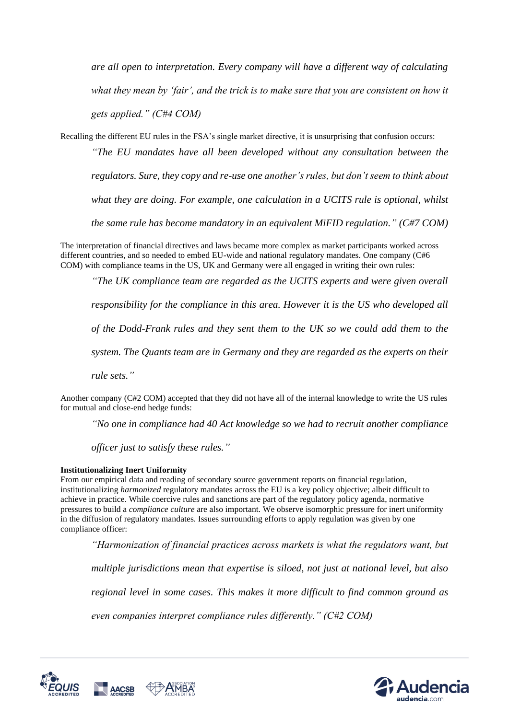*are all open to interpretation. Every company will have a different way of calculating what they mean by 'fair', and the trick is to make sure that you are consistent on how it gets applied." (C#4 COM)*

Recalling the different EU rules in the FSA's single market directive, it is unsurprising that confusion occurs:

*"The EU mandates have all been developed without any consultation between the regulators. Sure, they copy and re-use one another's rules, but don't seem to think about what they are doing. For example, one calculation in a UCITS rule is optional, whilst the same rule has become mandatory in an equivalent MiFID regulation." (C#7 COM)*

The interpretation of financial directives and laws became more complex as market participants worked across different countries, and so needed to embed EU-wide and national regulatory mandates. One company (C#6 COM) with compliance teams in the US, UK and Germany were all engaged in writing their own rules:

*"The UK compliance team are regarded as the UCITS experts and were given overall* 

*responsibility for the compliance in this area. However it is the US who developed all* 

*of the Dodd-Frank rules and they sent them to the UK so we could add them to the* 

*system. The Quants team are in Germany and they are regarded as the experts on their* 

*rule sets."*

Another company (C#2 COM) accepted that they did not have all of the internal knowledge to write the US rules for mutual and close-end hedge funds:

*"No one in compliance had 40 Act knowledge so we had to recruit another compliance* 

*officer just to satisfy these rules."*

#### **Institutionalizing Inert Uniformity**

From our empirical data and reading of secondary source government reports on financial regulation, institutionalizing *harmonized* regulatory mandates across the EU is a key policy objective; albeit difficult to achieve in practice. While coercive rules and sanctions are part of the regulatory policy agenda, normative pressures to build a *compliance culture* are also important. We observe isomorphic pressure for inert uniformity in the diffusion of regulatory mandates. Issues surrounding efforts to apply regulation was given by one compliance officer:

*"Harmonization of financial practices across markets is what the regulators want, but* 

*multiple jurisdictions mean that expertise is siloed, not just at national level, but also* 

*regional level in some cases. This makes it more difficult to find common ground as* 

*even companies interpret compliance rules differently." (C#2 COM)*



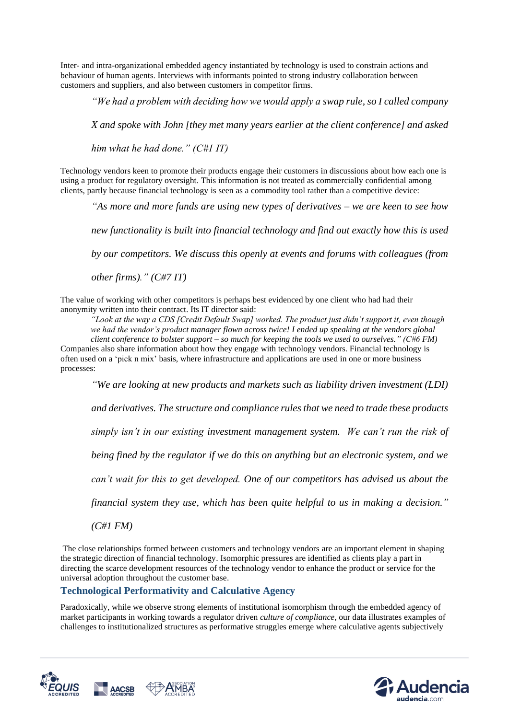Inter- and intra-organizational embedded agency instantiated by technology is used to constrain actions and behaviour of human agents. Interviews with informants pointed to strong industry collaboration between customers and suppliers, and also between customers in competitor firms.

*"We had a problem with deciding how we would apply a swap rule, so I called company* 

*X and spoke with John [they met many years earlier at the client conference] and asked* 

*him what he had done." (C#1 IT)*

Technology vendors keen to promote their products engage their customers in discussions about how each one is using a product for regulatory oversight. This information is not treated as commercially confidential among clients, partly because financial technology is seen as a commodity tool rather than a competitive device:

*"As more and more funds are using new types of derivatives – we are keen to see how* 

*new functionality is built into financial technology and find out exactly how this is used* 

*by our competitors. We discuss this openly at events and forums with colleagues (from* 

*other firms)." (C#7 IT)*

The value of working with other competitors is perhaps best evidenced by one client who had had their anonymity written into their contract. Its IT director said:

*"Look at the way a CDS [Credit Default Swap] worked. The product just didn't support it, even though we had the vendor's product manager flown across twice! I ended up speaking at the vendors global client conference to bolster support – so much for keeping the tools we used to ourselves." (C#6 FM)* Companies also share information about how they engage with technology vendors. Financial technology is often used on a 'pick n mix' basis, where infrastructure and applications are used in one or more business processes:

*"We are looking at new products and markets such as liability driven investment (LDI)* 

*and derivatives. The structure and compliance rules that we need to trade these products* 

*simply isn't in our existing investment management system. We can't run the risk of* 

*being fined by the regulator if we do this on anything but an electronic system, and we* 

*can't wait for this to get developed. One of our competitors has advised us about the* 

*financial system they use, which has been quite helpful to us in making a decision."*

*(C#1 FM)*

The close relationships formed between customers and technology vendors are an important element in shaping the strategic direction of financial technology. Isomorphic pressures are identified as clients play a part in directing the scarce development resources of the technology vendor to enhance the product or service for the universal adoption throughout the customer base.

### **Technological Performativity and Calculative Agency**

Paradoxically, while we observe strong elements of institutional isomorphism through the embedded agency of market participants in working towards a regulator driven *culture of compliance*, our data illustrates examples of challenges to institutionalized structures as performative struggles emerge where calculative agents subjectively



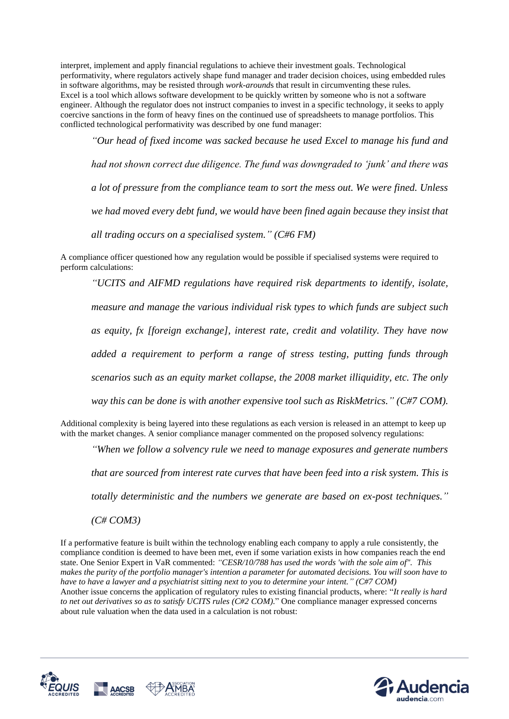interpret, implement and apply financial regulations to achieve their investment goals. Technological performativity, where regulators actively shape fund manager and trader decision choices, using embedded rules in software algorithms, may be resisted through *work-around*s that result in circumventing these rules. Excel is a tool which allows software development to be quickly written by someone who is not a software engineer. Although the regulator does not instruct companies to invest in a specific technology, it seeks to apply coercive sanctions in the form of heavy fines on the continued use of spreadsheets to manage portfolios. This conflicted technological performativity was described by one fund manager:

*"Our head of fixed income was sacked because he used Excel to manage his fund and had not shown correct due diligence. The fund was downgraded to 'junk' and there was a lot of pressure from the compliance team to sort the mess out. We were fined. Unless we had moved every debt fund, we would have been fined again because they insist that all trading occurs on a specialised system." (C#6 FM)*

A compliance officer questioned how any regulation would be possible if specialised systems were required to perform calculations:

*"UCITS and AIFMD regulations have required risk departments to identify, isolate, measure and manage the various individual risk types to which funds are subject such as equity, fx [foreign exchange], interest rate, credit and volatility. They have now added a requirement to perform a range of stress testing, putting funds through scenarios such as an equity market collapse, the 2008 market illiquidity, etc. The only way this can be done is with another expensive tool such as RiskMetrics." (C#7 COM).*

Additional complexity is being layered into these regulations as each version is released in an attempt to keep up with the market changes. A senior compliance manager commented on the proposed solvency regulations:

*"When we follow a solvency rule we need to manage exposures and generate numbers* 

*that are sourced from interest rate curves that have been feed into a risk system. This is* 

*totally deterministic and the numbers we generate are based on ex-post techniques."*

*(C# COM3)*

If a performative feature is built within the technology enabling each company to apply a rule consistently, the compliance condition is deemed to have been met, even if some variation exists in how companies reach the end state. One Senior Expert in VaR commented: *"CESR/10/788 has used the words 'with the sole aim of". This makes the purity of the portfolio manager's intention a parameter for automated decisions. You will soon have to have to have a lawyer and a psychiatrist sitting next to you to determine your intent." (C#7 COM)* Another issue concerns the application of regulatory rules to existing financial products, where: "*It really is hard to net out derivatives so as to satisfy UCITS rules (C#2 COM).*" One compliance manager expressed concerns about rule valuation when the data used in a calculation is not robust:



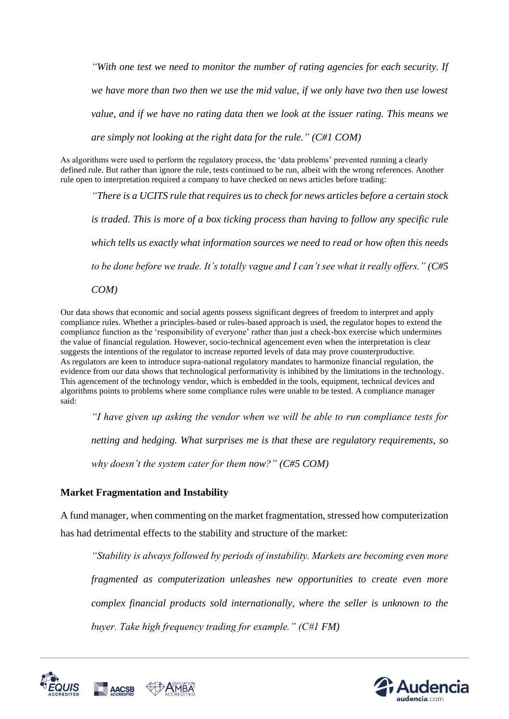*"With one test we need to monitor the number of rating agencies for each security. If we have more than two then we use the mid value, if we only have two then use lowest value, and if we have no rating data then we look at the issuer rating. This means we are simply not looking at the right data for the rule." (C#1 COM)*

As algorithms were used to perform the regulatory process, the 'data problems' prevented running a clearly defined rule. But rather than ignore the rule, tests continued to be run, albeit with the wrong references. Another rule open to interpretation required a company to have checked on news articles before trading:

*"There is a UCITS rule that requires us to check for news articles before a certain stock is traded. This is more of a box ticking process than having to follow any specific rule which tells us exactly what information sources we need to read or how often this needs to be done before we trade. It's totally vague and I can't see what it really offers." (C#5*

*COM)*

Our data shows that economic and social agents possess significant degrees of freedom to interpret and apply compliance rules. Whether a principles-based or rules-based approach is used, the regulator hopes to extend the compliance function as the 'responsibility of everyone' rather than just a check-box exercise which undermines the value of financial regulation. However, socio-technical agencement even when the interpretation is clear suggests the intentions of the regulator to increase reported levels of data may prove counterproductive. As regulators are keen to introduce supra-national regulatory mandates to harmonize financial regulation, the evidence from our data shows that technological performativity is inhibited by the limitations in the technology. This agencement of the technology vendor, which is embedded in the tools, equipment, technical devices and algorithms points to problems where some compliance rules were unable to be tested. A compliance manager said:

*"I have given up asking the vendor when we will be able to run compliance tests for* 

*netting and hedging. What surprises me is that these are regulatory requirements, so* 

*why doesn't the system cater for them now?" (C#5 COM)*

### **Market Fragmentation and Instability**

A fund manager, when commenting on the market fragmentation, stressed how computerization has had detrimental effects to the stability and structure of the market:

*"Stability is always followed by periods of instability. Markets are becoming even more fragmented as computerization unleashes new opportunities to create even more complex financial products sold internationally, where the seller is unknown to the buyer. Take high frequency trading for example." (C#1 FM)*



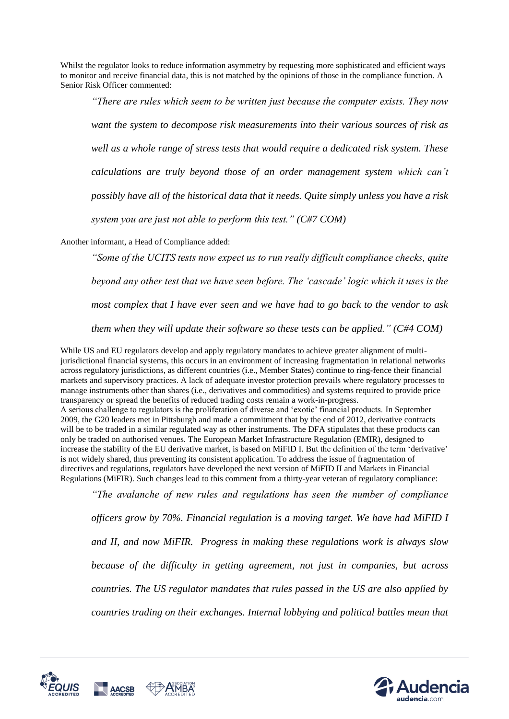Whilst the regulator looks to reduce information asymmetry by requesting more sophisticated and efficient ways to monitor and receive financial data, this is not matched by the opinions of those in the compliance function. A Senior Risk Officer commented:

*"There are rules which seem to be written just because the computer exists. They now want the system to decompose risk measurements into their various sources of risk as well as a whole range of stress tests that would require a dedicated risk system. These calculations are truly beyond those of an order management system which can't possibly have all of the historical data that it needs. Quite simply unless you have a risk system you are just not able to perform this test." (C#7 COM)*

Another informant, a Head of Compliance added:

*"Some of the UCITS tests now expect us to run really difficult compliance checks, quite beyond any other test that we have seen before. The 'cascade' logic which it uses is the most complex that I have ever seen and we have had to go back to the vendor to ask them when they will update their software so these tests can be applied." (C#4 COM)*

While US and EU regulators develop and apply regulatory mandates to achieve greater alignment of multijurisdictional financial systems, this occurs in an environment of increasing fragmentation in relational networks across regulatory jurisdictions, as different countries (i.e., Member States) continue to ring-fence their financial markets and supervisory practices. A lack of adequate investor protection prevails where regulatory processes to manage instruments other than shares (i.e., derivatives and commodities) and systems required to provide price transparency or spread the benefits of reduced trading costs remain a work-in-progress. A serious challenge to regulators is the proliferation of diverse and 'exotic' financial products. In September 2009, the G20 leaders met in Pittsburgh and made a commitment that by the end of 2012, derivative contracts will be to be traded in a similar regulated way as other instruments. The DFA stipulates that these products can only be traded on authorised venues. The European Market Infrastructure Regulation (EMIR), designed to increase the stability of the EU derivative market, is based on MiFID I. But the definition of the term 'derivative' is not widely shared, thus preventing its consistent application. To address the issue of fragmentation of directives and regulations, regulators have developed the next version of MiFID II and Markets in Financial Regulations (MiFIR). Such changes lead to this comment from a thirty-year veteran of regulatory compliance:

*"The avalanche of new rules and regulations has seen the number of compliance officers grow by 70%. Financial regulation is a moving target. We have had MiFID I and II, and now MiFIR. Progress in making these regulations work is always slow because of the difficulty in getting agreement, not just in companies, but across countries. The US regulator mandates that rules passed in the US are also applied by countries trading on their exchanges. Internal lobbying and political battles mean that* 



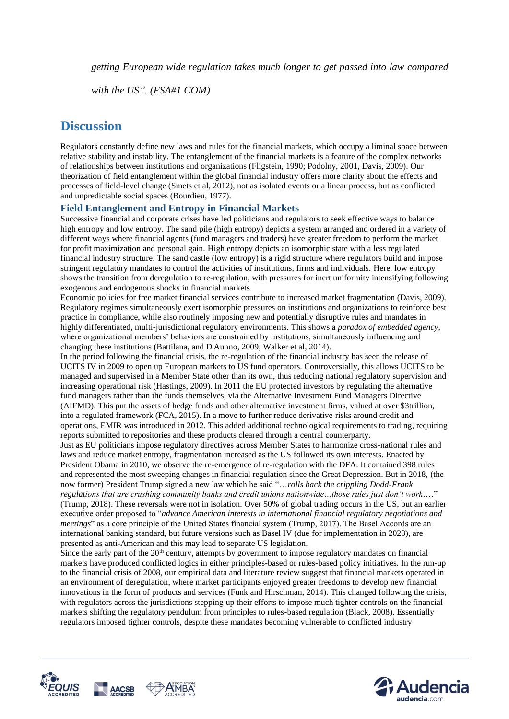*getting European wide regulation takes much longer to get passed into law compared* 

*with the US". (FSA#1 COM)*

### **Discussion**

Regulators constantly define new laws and rules for the financial markets, which occupy a liminal space between relative stability and instability. The entanglement of the financial markets is a feature of the complex networks of relationships between institutions and organizations (Fligstein, 1990; Podolny, 2001, Davis, 2009). Our theorization of field entanglement within the global financial industry offers more clarity about the effects and processes of field-level change (Smets et al, 2012), not as isolated events or a linear process, but as conflicted and unpredictable social spaces (Bourdieu, 1977).

### **Field Entanglement and Entropy in Financial Markets**

Successive financial and corporate crises have led politicians and regulators to seek effective ways to balance high entropy and low entropy. The sand pile (high entropy) depicts a system arranged and ordered in a variety of different ways where financial agents (fund managers and traders) have greater freedom to perform the market for profit maximization and personal gain. High entropy depicts an isomorphic state with a less regulated financial industry structure. The sand castle (low entropy) is a rigid structure where regulators build and impose stringent regulatory mandates to control the activities of institutions, firms and individuals. Here, low entropy shows the transition from deregulation to re-regulation, with pressures for inert uniformity intensifying following exogenous and endogenous shocks in financial markets.

Economic policies for free market financial services contribute to increased market fragmentation (Davis, 2009). Regulatory regimes simultaneously exert isomorphic pressures on institutions and organizations to reinforce best practice in compliance, while also routinely imposing new and potentially disruptive rules and mandates in highly differentiated, multi-jurisdictional regulatory environments. This shows a *paradox of embedded agency*, where organizational members' behaviors are constrained by institutions, simultaneously influencing and changing these institutions (Battilana, and D'Aunno, 2009; Walker et al, 2014).

In the period following the financial crisis, the re-regulation of the financial industry has seen the release of UCITS IV in 2009 to open up European markets to US fund operators. Controversially, this allows UCITS to be managed and supervised in a Member State other than its own, thus reducing national regulatory supervision and increasing operational risk (Hastings, 2009). In 2011 the EU protected investors by regulating the alternative fund managers rather than the funds themselves, via the Alternative Investment Fund Managers Directive (AIFMD). This put the assets of hedge funds and other alternative investment firms, valued at over \$3trillion, into a regulated framework (FCA, 2015). In a move to further reduce derivative risks around credit and operations, EMIR was introduced in 2012. This added additional technological requirements to trading, requiring reports submitted to repositories and these products cleared through a central counterparty.

Just as EU politicians impose regulatory directives across Member States to harmonize cross-national rules and laws and reduce market entropy, fragmentation increased as the US followed its own interests. Enacted by President Obama in 2010, we observe the re-emergence of re-regulation with the DFA. It contained 398 rules and represented the most sweeping changes in financial regulation since the Great Depression. But in 2018, (the now former) President Trump signed a new law which he said "…*rolls back the crippling Dodd-Frank regulations that are crushing community banks and credit unions nationwide…those rules just don't work*.…" (Trump, 2018). These reversals were not in isolation. Over 50% of global trading occurs in the US, but an earlier

executive order proposed to "*advance American interests in international financial regulatory negotiations and meetings*" as a core principle of the United States financial system (Trump, 2017). The Basel Accords are an international banking standard, but future versions such as Basel IV (due for implementation in 2023), are presented as anti-American and this may lead to separate US legislation.

Since the early part of the 20<sup>th</sup> century, attempts by government to impose regulatory mandates on financial markets have produced conflicted logics in either principles-based or rules-based policy initiatives. In the run-up to the financial crisis of 2008, our empirical data and literature review suggest that financial markets operated in an environment of deregulation, where market participants enjoyed greater freedoms to develop new financial innovations in the form of products and services (Funk and Hirschman, 2014). This changed following the crisis, with regulators across the jurisdictions stepping up their efforts to impose much tighter controls on the financial markets shifting the regulatory pendulum from principles to rules-based regulation (Black, 2008). Essentially regulators imposed tighter controls, despite these mandates becoming vulnerable to conflicted industry



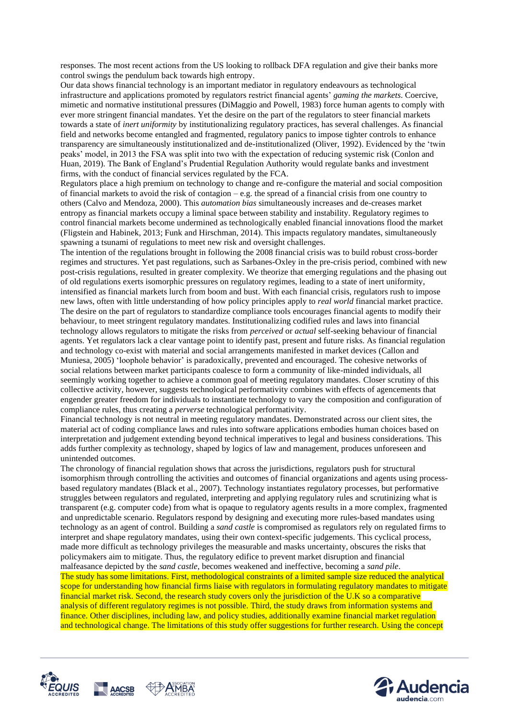responses. The most recent actions from the US looking to rollback DFA regulation and give their banks more control swings the pendulum back towards high entropy.

Our data shows financial technology is an important mediator in regulatory endeavours as technological infrastructure and applications promoted by regulators restrict financial agents' *gaming the markets*. Coercive, mimetic and normative institutional pressures (DiMaggio and Powell, 1983) force human agents to comply with ever more stringent financial mandates. Yet the desire on the part of the regulators to steer financial markets towards a state of *inert uniformity* by institutionalizing regulatory practices, has several challenges. As financial field and networks become entangled and fragmented, regulatory panics to impose tighter controls to enhance transparency are simultaneously institutionalized and de-institutionalized (Oliver, 1992). Evidenced by the 'twin peaks' model, in 2013 the FSA was split into two with the expectation of reducing systemic risk (Conlon and Huan, 2019). The Bank of England's Prudential Regulation Authority would regulate banks and investment firms, with the conduct of financial services regulated by the FCA.

Regulators place a high premium on technology to change and re-configure the material and social composition of financial markets to avoid the risk of contagion – e.g. the spread of a financial crisis from one country to others (Calvo and Mendoza, 2000). This *automation bias* simultaneously increases and de-creases market entropy as financial markets occupy a liminal space between stability and instability. Regulatory regimes to control financial markets become undermined as technologically enabled financial innovations flood the market (Fligstein and Habinek, 2013; Funk and Hirschman, 2014). This impacts regulatory mandates, simultaneously spawning a tsunami of regulations to meet new risk and oversight challenges.

The intention of the regulations brought in following the 2008 financial crisis was to build robust cross-border regimes and structures. Yet past regulations, such as Sarbanes-Oxley in the pre-crisis period, combined with new post-crisis regulations, resulted in greater complexity. We theorize that emerging regulations and the phasing out of old regulations exerts isomorphic pressures on regulatory regimes, leading to a state of inert uniformity, intensified as financial markets lurch from boom and bust. With each financial crisis, regulators rush to impose new laws, often with little understanding of how policy principles apply to *real world* financial market practice. The desire on the part of regulators to standardize compliance tools encourages financial agents to modify their behaviour, to meet stringent regulatory mandates. Institutionalizing codified rules and laws into financial technology allows regulators to mitigate the risks from *perceived* or *actual* self-seeking behaviour of financial agents. Yet regulators lack a clear vantage point to identify past, present and future risks. As financial regulation and technology co-exist with material and social arrangements manifested in market devices (Callon and Muniesa, 2005) 'loophole behavior' is paradoxically, prevented and encouraged. The cohesive networks of social relations between market participants coalesce to form a community of like-minded individuals, all seemingly working together to achieve a common goal of meeting regulatory mandates. Closer scrutiny of this collective activity, however, suggests technological performativity combines with effects of agencements that engender greater freedom for individuals to instantiate technology to vary the composition and configuration of compliance rules, thus creating a *perverse* technological performativity.

Financial technology is not neutral in meeting regulatory mandates. Demonstrated across our client sites, the material act of coding compliance laws and rules into software applications embodies human choices based on interpretation and judgement extending beyond technical imperatives to legal and business considerations. This adds further complexity as technology, shaped by logics of law and management, produces unforeseen and unintended outcomes.

The chronology of financial regulation shows that across the jurisdictions, regulators push for structural isomorphism through controlling the activities and outcomes of financial organizations and agents using processbased regulatory mandates (Black et al., 2007). Technology instantiates regulatory processes, but performative struggles between regulators and regulated, interpreting and applying regulatory rules and scrutinizing what is transparent (e.g. computer code) from what is opaque to regulatory agents results in a more complex, fragmented and unpredictable scenario. Regulators respond by designing and executing more rules-based mandates using technology as an agent of control. Building a *sand castle* is compromised as regulators rely on regulated firms to interpret and shape regulatory mandates, using their own context-specific judgements. This cyclical process, made more difficult as technology privileges the measurable and masks uncertainty, obscures the risks that policymakers aim to mitigate. Thus, the regulatory edifice to prevent market disruption and financial malfeasance depicted by the *sand castle*, becomes weakened and ineffective, becoming a *sand pile*. The study has some limitations. First, methodological constraints of a limited sample size reduced the analytical scope for understanding how financial firms liaise with regulators in formulating regulatory mandates to mitigate financial market risk. Second, the research study covers only the jurisdiction of the U.K so a comparative analysis of different regulatory regimes is not possible. Third, the study draws from information systems and finance. Other disciplines, including law, and policy studies, additionally examine financial market regulation and technological change. The limitations of this study offer suggestions for further research. Using the concept



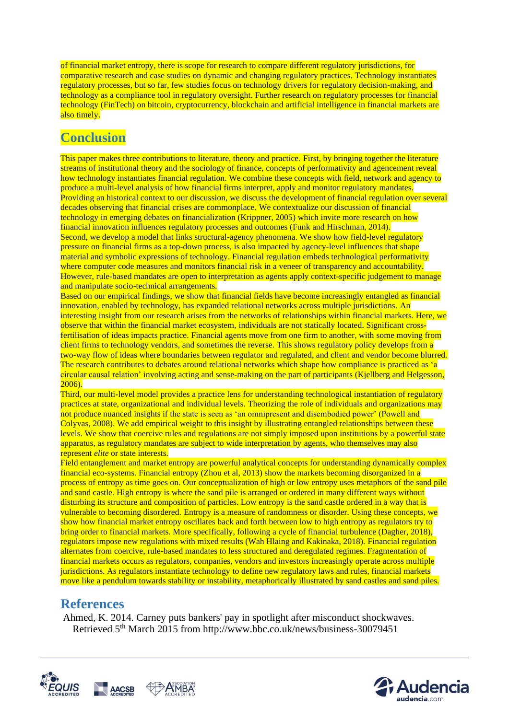of financial market entropy, there is scope for research to compare different regulatory jurisdictions, for comparative research and case studies on dynamic and changing regulatory practices. Technology instantiates regulatory processes, but so far, few studies focus on technology drivers for regulatory decision-making, and technology as a compliance tool in regulatory oversight. Further research on regulatory processes for financial technology (FinTech) on bitcoin, cryptocurrency, blockchain and artificial intelligence in financial markets are also timely.

# **Conclusion**

This paper makes three contributions to literature, theory and practice. First, by bringing together the literature streams of institutional theory and the sociology of finance, concepts of performativity and agencement reveal how technology instantiates financial regulation. We combine these concepts with field, network and agency to produce a multi-level analysis of how financial firms interpret, apply and monitor regulatory mandates. Providing an historical context to our discussion, we discuss the development of financial regulation over several decades observing that financial crises are commonplace. We contextualize our discussion of financial technology in emerging debates on financialization (Krippner, 2005) which invite more research on how financial innovation influences regulatory processes and outcomes (Funk and Hirschman, 2014). Second, we develop a model that links structural-agency phenomena. We show how field-level regulatory pressure on financial firms as a top-down process, is also impacted by agency-level influences that shape material and symbolic expressions of technology. Financial regulation embeds technological performativity where computer code measures and monitors financial risk in a veneer of transparency and accountability. However, rule-based mandates are open to interpretation as agents apply context-specific judgement to manage and manipulate socio-technical arrangements.

Based on our empirical findings, we show that financial fields have become increasingly entangled as financial innovation, enabled by technology, has expanded relational networks across multiple jurisdictions. An interesting insight from our research arises from the networks of relationships within financial markets. Here, we observe that within the financial market ecosystem, individuals are not statically located. Significant crossfertilisation of ideas impacts practice. Financial agents move from one firm to another, with some moving from client firms to technology vendors, and sometimes the reverse. This shows regulatory policy develops from a two-way flow of ideas where boundaries between regulator and regulated, and client and vendor become blurred. The research contributes to debates around relational networks which shape how compliance is practiced as 'a circular causal relation' involving acting and sense-making on the part of participants (Kjellberg and Helgesson, 2006).

Third, our multi-level model provides a practice lens for understanding technological instantiation of regulatory practices at state, organizational and individual levels. Theorizing the role of individuals and organizations may not produce nuanced insights if the state is seen as 'an omnipresent and disembodied power' (Powell and Colyvas, 2008). We add empirical weight to this insight by illustrating entangled relationships between these levels. We show that coercive rules and regulations are not simply imposed upon institutions by a powerful state apparatus, as regulatory mandates are subject to wide interpretation by agents, who themselves may also represent *elite* or state interests.

Field entanglement and market entropy are powerful analytical concepts for understanding dynamically complex financial eco-systems. Financial entropy (Zhou et al, 2013) show the markets becoming disorganized in a process of entropy as time goes on. Our conceptualization of high or low entropy uses metaphors of the sand pile and sand castle. High entropy is where the sand pile is arranged or ordered in many different ways without disturbing its structure and composition of particles. Low entropy is the sand castle ordered in a way that is vulnerable to becoming disordered. Entropy is a measure of randomness or disorder. Using these concepts, we show how financial market entropy oscillates back and forth between low to high entropy as regulators try to bring order to financial markets. More specifically, following a cycle of financial turbulence (Dagher, 2018), regulators impose new regulations with mixed results (Wah Hlaing and Kakinaka, 2018). Financial regulation alternates from coercive, rule-based mandates to less structured and deregulated regimes. Fragmentation of financial markets occurs as regulators, companies, vendors and investors increasingly operate across multiple jurisdictions. As regulators instantiate technology to define new regulatory laws and rules, financial markets move like a pendulum towards stability or instability, metaphorically illustrated by sand castles and sand piles.

### **References**

Ahmed, K. 2014. Carney puts bankers' pay in spotlight after misconduct shockwaves. Retrieved 5<sup>th</sup> March 2015 from http://www.bbc.co.uk/news/business-30079451



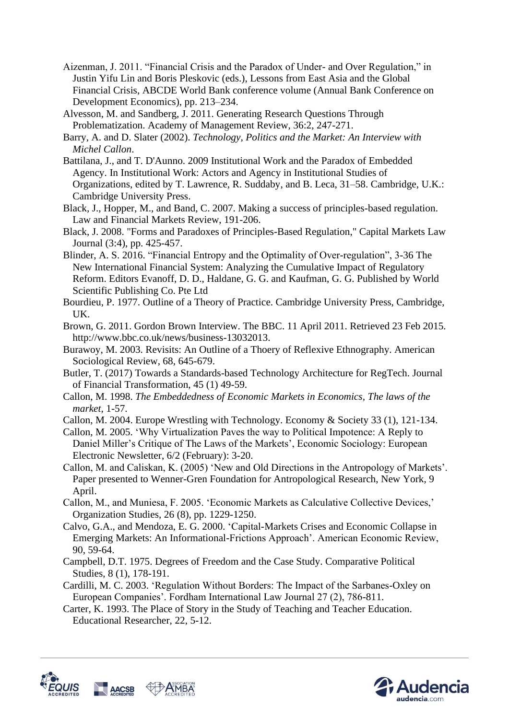- Aizenman, J. 2011. "Financial Crisis and the Paradox of Under- and Over Regulation," in Justin Yifu Lin and Boris Pleskovic (eds.), Lessons from East Asia and the Global Financial Crisis, ABCDE World Bank conference volume (Annual Bank Conference on Development Economics), pp. 213–234.
- Alvesson, M. and Sandberg, J. 2011. Generating Research Questions Through Problematization. Academy of Management Review, 36:2, 247-271.
- Barry, A. and D. Slater (2002). *Technology, Politics and the Market: An Interview with Michel Callon*.
- Battilana, J., and T. D'Aunno. 2009 Institutional Work and the Paradox of Embedded Agency. In Institutional Work: Actors and Agency in Institutional Studies of Organizations, edited by T. Lawrence, R. Suddaby, and B. Leca, 31–58. Cambridge, U.K.: Cambridge University Press.
- Black, J., Hopper, M., and Band, C. 2007. Making a success of principles-based regulation. Law and Financial Markets Review, 191-206.
- Black, J. 2008. "Forms and Paradoxes of Principles-Based Regulation," Capital Markets Law Journal (3:4), pp. 425-457.
- Blinder, A. S. 2016. "Financial Entropy and the Optimality of Over-regulation", 3-36 The New International Financial System: Analyzing the Cumulative Impact of Regulatory Reform. Editors Evanoff, D. D., Haldane, G. G. and Kaufman, G. G. Published by World Scientific Publishing Co. Pte Ltd
- Bourdieu, P. 1977. Outline of a Theory of Practice. Cambridge University Press, Cambridge, UK.
- Brown, G. 2011. Gordon Brown Interview. The BBC. 11 April 2011. Retrieved 23 Feb 2015. http://www.bbc.co.uk/news/business-13032013.
- Burawoy, M. 2003. Revisits: An Outline of a Thoery of Reflexive Ethnography. American Sociological Review, 68, 645-679.
- Butler, T. (2017) Towards a Standards-based Technology Architecture for RegTech. Journal of Financial Transformation, 45 (1) 49-59.
- Callon, M. 1998. *The Embeddedness of Economic Markets in Economics, The laws of the market,* 1-57.
- Callon, M. 2004. Europe Wrestling with Technology. Economy & Society 33 (1), 121-134.
- Callon, M. 2005. 'Why Virtualization Paves the way to Political Impotence: A Reply to Daniel Miller's Critique of The Laws of the Markets', Economic Sociology: European Electronic Newsletter, 6/2 (February): 3-20.
- Callon, M. and Caliskan, K. (2005) 'New and Old Directions in the Antropology of Markets'. Paper presented to Wenner-Gren Foundation for Antropological Research, New York, 9 April.
- Callon, M., and Muniesa, F. 2005. 'Economic Markets as Calculative Collective Devices,' Organization Studies, 26 (8), pp. 1229-1250.
- Calvo, G.A., and Mendoza, E. G. 2000. 'Capital-Markets Crises and Economic Collapse in Emerging Markets: An Informational-Frictions Approach'. American Economic Review, 90, 59-64.
- Campbell, D.T. 1975. Degrees of Freedom and the Case Study. Comparative Political Studies, 8 (1), 178-191.
- Cardilli, M. C. 2003. 'Regulation Without Borders: The Impact of the Sarbanes-Oxley on European Companies'. Fordham International Law Journal 27 (2), 786-811.
- Carter, K. 1993. The Place of Story in the Study of Teaching and Teacher Education. Educational Researcher, 22, 5-12.



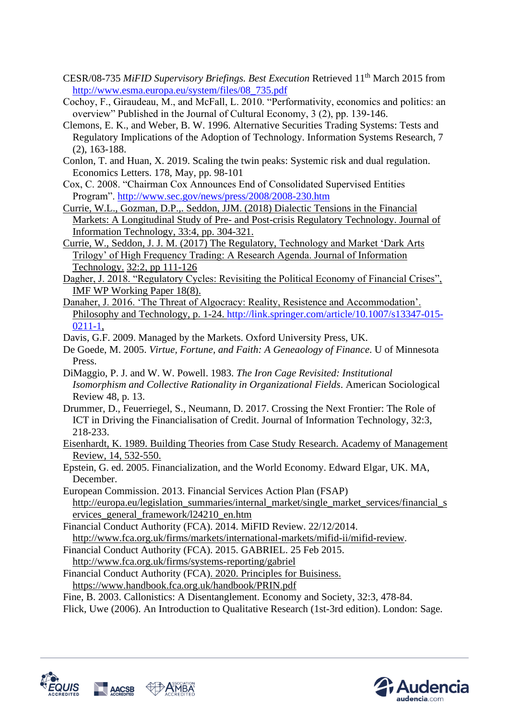- CESR/08-735 *MiFID Supervisory Briefings. Best Execution* Retrieved 11th March 2015 from [http://www.esma.europa.eu/system/files/08\\_735.pdf](http://www.esma.europa.eu/system/files/08_735.pdf)
- Cochoy, F., Giraudeau, M., and McFall, L. 2010. "Performativity, economics and politics: an overview" Published in the Journal of Cultural Economy, 3 (2), pp. 139-146.
- Clemons, E. K., and Weber, B. W. 1996. Alternative Securities Trading Systems: Tests and Regulatory Implications of the Adoption of Technology. Information Systems Research, 7 (2), 163-188.
- Conlon, T. and Huan, X. 2019. Scaling the twin peaks: Systemic risk and dual regulation. Economics Letters. 178, May, pp. 98-101
- Cox, C. 2008. "Chairman Cox Announces End of Consolidated Supervised Entities Program".<http://www.sec.gov/news/press/2008/2008-230.htm>
- Currie, W.L., Gozman, D.P.,. Seddon, JJM. (2018) Dialectic Tensions in the Financial Markets: A Longitudinal Study of Pre- and Post-crisis Regulatory Technology. Journal of Information Technology, 33:4, pp. 304-321.
- Currie, W., Seddon, J. J. M. (2017) The Regulatory, Technology and Market 'Dark Arts Trilogy' of High Frequency Trading: A Research Agenda. Journal of Information Technology. 32:2, pp 111-126
- Dagher, J. 2018. "Regulatory Cycles: Revisiting the Political Economy of Financial Crises", IMF WP Working Paper 18(8).
- Danaher, J. 2016. 'The Threat of Algocracy: Reality, Resistence and Accommodation'. Philosophy and Technology, p. 1-24. [http://link.springer.com/article/10.1007/s13347-015-](http://link.springer.com/article/10.1007/s13347-015-0211-1) [0211-1,](http://link.springer.com/article/10.1007/s13347-015-0211-1)
- Davis, G.F. 2009. Managed by the Markets. Oxford University Press, UK.
- De Goede, M. 2005. *Virtue, Fortune, and Faith: A Geneaology of Finance*. U of Minnesota Press.
- DiMaggio, P. J. and W. W. Powell. 1983. *The Iron Cage Revisited: Institutional Isomorphism and Collective Rationality in Organizational Fields*. American Sociological Review 48, p. 13.
- Drummer, D., Feuerriegel, S., Neumann, D. 2017. Crossing the Next Frontier: The Role of ICT in Driving the Financialisation of Credit. Journal of Information Technology, 32:3, 218-233.
- Eisenhardt, K. 1989. Building Theories from Case Study Research. Academy of Management Review, 14, 532-550.
- Epstein, G. ed. 2005. Financialization, and the World Economy. Edward Elgar, UK. MA, December.
- European Commission. 2013. Financial Services Action Plan (FSAP) [http://europa.eu/legislation\\_summaries/internal\\_market/single\\_market\\_services/financial\\_s](http://europa.eu/legislation_summaries/internal_market/single_market_services/financial_services_general_framework/l24210_en.htm) [ervices\\_general\\_framework/l24210\\_en.htm](http://europa.eu/legislation_summaries/internal_market/single_market_services/financial_services_general_framework/l24210_en.htm)

Financial Conduct Authority (FCA). 2014. MiFID Review. 22/12/2014. [http://www.fca.org.uk/firms/markets/international-markets/mifid-ii/mifid-review.](http://www.fca.org.uk/firms/markets/international-markets/mifid-ii/mifid-review)

- Financial Conduct Authority (FCA). 2015. GABRIEL. 25 Feb 2015. <http://www.fca.org.uk/firms/systems-reporting/gabriel>
- Financial Conduct Authority (FCA). 2020. Principles for Buisiness. https://www.handbook.fca.org.uk/handbook/PRIN.pdf

Fine, B. 2003. Callonistics: A Disentanglement. Economy and Society, 32:3, 478-84.

Flick, Uwe (2006). An Introduction to Qualitative Research (1st-3rd edition). London: Sage.



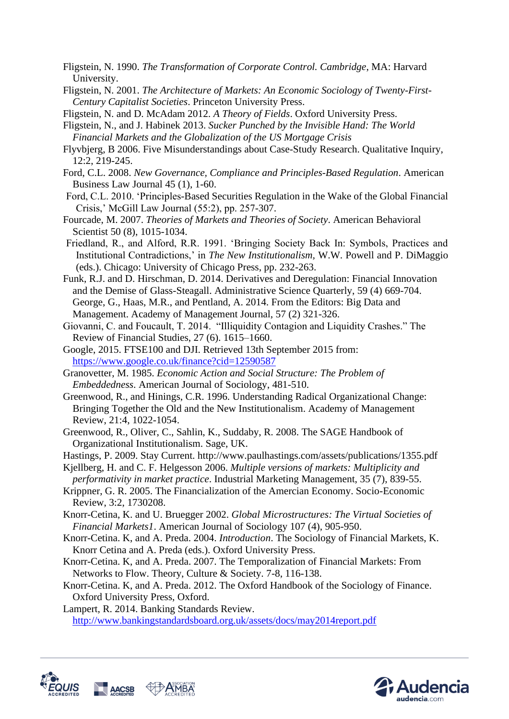- Fligstein, N. 1990. *The Transformation of Corporate Control. Cambridge*, MA: Harvard University.
- Fligstein, N. 2001. *The Architecture of Markets: An Economic Sociology of Twenty-First-Century Capitalist Societies*. Princeton University Press.
- Fligstein, N. and D. McAdam 2012. *A Theory of Fields*. Oxford University Press.
- Fligstein, N., and J. Habinek 2013. *Sucker Punched by the Invisible Hand: The World Financial Markets and the Globalization of the US Mortgage Crisis*
- Flyvbjerg, B 2006. Five Misunderstandings about Case-Study Research. Qualitative Inquiry, 12:2, 219-245.
- Ford, C.L. 2008. *New Governance, Compliance and Principles-Based Regulation*. American Business Law Journal 45 (1), 1-60.
- Ford, C.L. 2010. 'Principles-Based Securities Regulation in the Wake of the Global Financial Crisis,' McGill Law Journal (55:2), pp. 257-307.
- Fourcade, M. 2007. *Theories of Markets and Theories of Society*. American Behavioral Scientist 50 (8), 1015-1034.
- Friedland, R., and Alford, R.R. 1991. 'Bringing Society Back In: Symbols, Practices and Institutional Contradictions,' in *The New Institutionalism,* W.W. Powell and P. DiMaggio (eds.). Chicago: University of Chicago Press, pp. 232-263.
- Funk, R.J. and D. Hirschman, D. 2014. Derivatives and Deregulation: Financial Innovation and the Demise of Glass-Steagall. Administrative Science Quarterly, 59 (4) 669-704. George, G., Haas, M.R., and Pentland, A. 2014. From the Editors: Big Data and Management. Academy of Management Journal, 57 (2) 321-326.
- Giovanni, C. and Foucault, T. 2014. "Illiquidity Contagion and Liquidity Crashes." The Review of Financial Studies, 27 (6). 1615–1660.
- Google, 2015. FTSE100 and DJI. Retrieved 13th September 2015 from: <https://www.google.co.uk/finance?cid=12590587>
- Granovetter, M. 1985. *Economic Action and Social Structure: The Problem of Embeddedness*. American Journal of Sociology, 481-510.
- Greenwood, R., and Hinings, C.R. 1996. Understanding Radical Organizational Change: Bringing Together the Old and the New Institutionalism. Academy of Management Review, 21:4, 1022-1054.
- Greenwood, R., Oliver, C., Sahlin, K., Suddaby, R. 2008. The SAGE Handbook of Organizational Institutionalism. Sage, UK.
- Hastings, P. 2009. Stay Current. http://www.paulhastings.com/assets/publications/1355.pdf
- Kjellberg, H. and C. F. Helgesson 2006. *Multiple versions of markets: Multiplicity and performativity in market practice*. Industrial Marketing Management, 35 (7), 839-55.
- Krippner, G. R. 2005. The Financialization of the Amercian Economy. Socio-Economic Review, 3:2, 1730208.
- Knorr-Cetina, K. and U. Bruegger 2002. *Global Microstructures: The Virtual Societies of Financial Markets1*. American Journal of Sociology 107 (4), 905-950.
- Knorr-Cetina. K, and A. Preda. 2004. *Introduction*. The Sociology of Financial Markets, K. Knorr Cetina and A. Preda (eds.). Oxford University Press.
- Knorr-Cetina. K, and A. Preda. 2007. The Temporalization of Financial Markets: From Networks to Flow. Theory, Culture & Society. 7-8, 116-138.
- Knorr-Cetina. K, and A. Preda. 2012. The Oxford Handbook of the Sociology of Finance. Oxford University Press, Oxford.

Lampert, R. 2014. Banking Standards Review. <http://www.bankingstandardsboard.org.uk/assets/docs/may2014report.pdf>



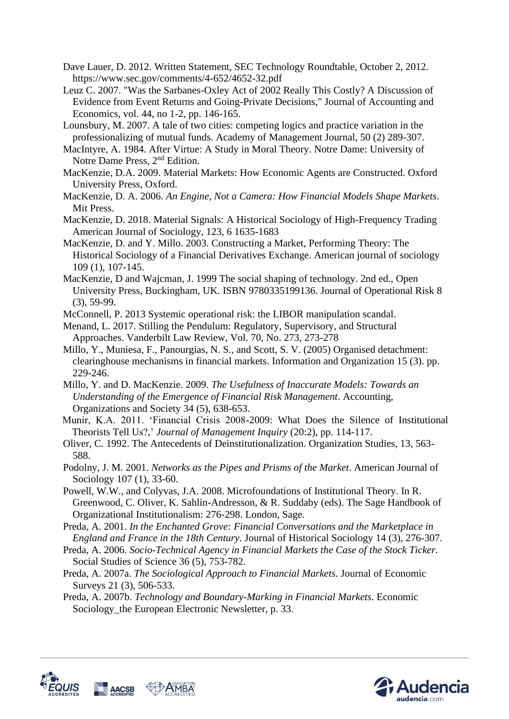- Dave Lauer, D. 2012. Written Statement, SEC Technology Roundtable, October 2, 2012. https://www.sec.gov/comments/4-652/4652-32.pdf
- Leuz C. 2007. "Was the Sarbanes-Oxley Act of 2002 Really This Costly? A Discussion of Evidence from Event Returns and Going-Private Decisions," Journal of Accounting and Economics, vol. 44, no 1-2, pp. 146-165.
- Lounsbury, M. 2007. A tale of two cities: competing logics and practice variation in the professionalizing of mutual funds. Academy of Management Journal, 50 (2) 289-307.
- MacIntyre, A. 1984. After Virtue: A Study in Moral Theory. Notre Dame: University of Notre Dame Press, 2nd Edition.
- MacKenzie, D.A. 2009. Material Markets: How Economic Agents are Constructed. Oxford University Press, Oxford.
- MacKenzie, D. A. 2006. *An Engine, Not a Camera: How Financial Models Shape Markets*. Mit Press.
- MacKenzie, D. 2018. Material Signals: A Historical Sociology of High-Frequency Trading American Journal of Sociology, 123, 6 1635-1683
- MacKenzie, D. and Y. Millo. 2003. Constructing a Market, Performing Theory: The Historical Sociology of a Financial Derivatives Exchange. American journal of sociology 109 (1), 107-145.
- MacKenzie, D and Wajcman, J. 1999 The social shaping of technology. 2nd ed., Open University Press, Buckingham, UK. ISBN 9780335199136. Journal of Operational Risk 8 (3), 59-99.
- McConnell, P. 2013 Systemic operational risk: the LIBOR manipulation scandal.
- Menand, L. 2017. Stilling the Pendulum: Regulatory, Supervisory, and Structural Approaches. Vanderbilt Law Review, Vol. 70, No. 273, 273-278
- Millo, Y., Muniesa, F., Panourgias, N. S., and Scott, S. V. (2005) Organised detachment: clearinghouse mechanisms in financial markets. Information and Organization 15 (3). pp. 229-246.
- Millo, Y. and D. MacKenzie. 2009. *The Usefulness of Inaccurate Models: Towards an Understanding of the Emergence of Financial Risk Management*. Accounting, Organizations and Society 34 (5), 638-653.
- Munir, K.A. 2011. 'Financial Crisis 2008-2009: What Does the Silence of Institutional Theorists Tell Us?,' *Journal of Management Inquiry* (20:2), pp. 114-117.
- Oliver, C. 1992. The Antecedents of Deinstitutionalization. Organization Studies, 13, 563- 588.
- Podolny, J. M. 2001. *Networks as the Pipes and Prisms of the Market*. American Journal of Sociology 107 (1), 33-60.
- Powell, W.W., and Colyvas, J.A. 2008. Microfoundations of Institutional Theory. In R. Greenwood, C. Oliver, K. Sahlin-Andresson, & R. Suddaby (eds). The Sage Handbook of Organizational Institutionalism: 276-298. London, Sage.
- Preda, A. 2001. *In the Enchanted Grove: Financial Conversations and the Marketplace in England and France in the 18th Century.* Journal of Historical Sociology 14 (3), 276-307.
- Preda, A. 2006. *Socio-Technical Agency in Financial Markets the Case of the Stock Ticker*. Social Studies of Science 36 (5), 753-782.
- Preda, A. 2007a. *The Sociological Approach to Financial Markets*. Journal of Economic Surveys 21 (3), 506-533.
- Preda, A. 2007b. *Technology and Boundary-Marking in Financial Markets*. Economic Sociology\_the European Electronic Newsletter, p. 33.



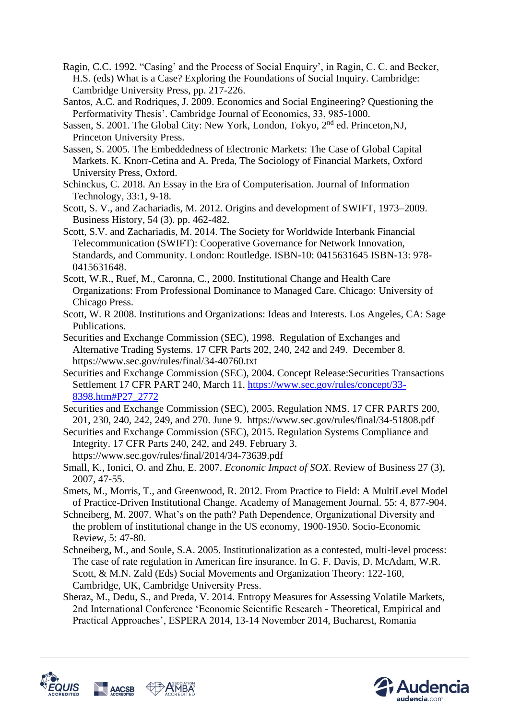- Ragin, C.C. 1992. "Casing' and the Process of Social Enquiry', in Ragin, C. C. and Becker, H.S. (eds) What is a Case? Exploring the Foundations of Social Inquiry. Cambridge: Cambridge University Press, pp. 217-226.
- Santos, A.C. and Rodriques, J. 2009. Economics and Social Engineering? Questioning the Performativity Thesis'. Cambridge Journal of Economics, 33, 985-1000.
- Sassen, S. 2001. The Global City: New York, London, Tokyo, 2<sup>nd</sup> ed. Princeton, NJ, Princeton University Press.
- Sassen, S. 2005. The Embeddedness of Electronic Markets: The Case of Global Capital Markets. K. Knorr-Cetina and A. Preda, The Sociology of Financial Markets, Oxford University Press, Oxford.
- Schinckus, C. 2018. An Essay in the Era of Computerisation. Journal of Information Technology, 33:1, 9-18.
- Scott, S. V., and Zachariadis, M. 2012. Origins and development of SWIFT, 1973–2009. Business History, 54 (3). pp. 462-482.
- Scott, S.V. and Zachariadis, M. 2014. The Society for Worldwide Interbank Financial Telecommunication (SWIFT): Cooperative Governance for Network Innovation, Standards, and Community. London: Routledge. ISBN-10: 0415631645 ISBN-13: 978- 0415631648.
- Scott, W.R., Ruef, M., Caronna, C., 2000. Institutional Change and Health Care Organizations: From Professional Dominance to Managed Care. Chicago: University of Chicago Press.
- Scott, W. R 2008. Institutions and Organizations: Ideas and Interests. Los Angeles, CA: Sage Publications.
- Securities and Exchange Commission (SEC), 1998. Regulation of Exchanges and Alternative Trading Systems. 17 CFR Parts 202, 240, 242 and 249. December 8. https://www.sec.gov/rules/final/34-40760.txt
- Securities and Exchange Commission (SEC), 2004. Concept Release:Securities Transactions Settlement 17 CFR PART 240, March 11. [https://www.sec.gov/rules/concept/33-](https://www.sec.gov/rules/concept/33-8398.htm#P27_2772) [8398.htm#P27\\_2772](https://www.sec.gov/rules/concept/33-8398.htm#P27_2772)
- Securities and Exchange Commission (SEC), 2005. Regulation NMS. 17 CFR PARTS 200, 201, 230, 240, 242, 249, and 270. June 9. https://www.sec.gov/rules/final/34-51808.pdf
- Securities and Exchange Commission (SEC), 2015. Regulation Systems Compliance and Integrity. 17 CFR Parts 240, 242, and 249. February 3. https://www.sec.gov/rules/final/2014/34-73639.pdf
- Small, K., Ionici, O. and Zhu, E. 2007. *Economic Impact of SOX*. Review of Business 27 (3), 2007, 47-55.
- Smets, M., Morris, T., and Greenwood, R. 2012. From Practice to Field: A MultiLevel Model of Practice-Driven Institutional Change. Academy of Management Journal. 55: 4, 877-904.
- Schneiberg, M. 2007. What's on the path? Path Dependence, Organizational Diversity and the problem of institutional change in the US economy, 1900-1950. Socio-Economic Review, 5: 47-80.
- Schneiberg, M., and Soule, S.A. 2005. Institutionalization as a contested, multi-level process: The case of rate regulation in American fire insurance. In G. F. Davis, D. McAdam, W.R. Scott, & M.N. Zald (Eds) Social Movements and Organization Theory: 122-160, Cambridge, UK, Cambridge University Press.
- Sheraz, M., Dedu, S., and Preda, V. 2014. Entropy Measures for Assessing Volatile Markets, 2nd International Conference 'Economic Scientific Research - Theoretical, Empirical and Practical Approaches', ESPERA 2014, 13-14 November 2014, Bucharest, Romania



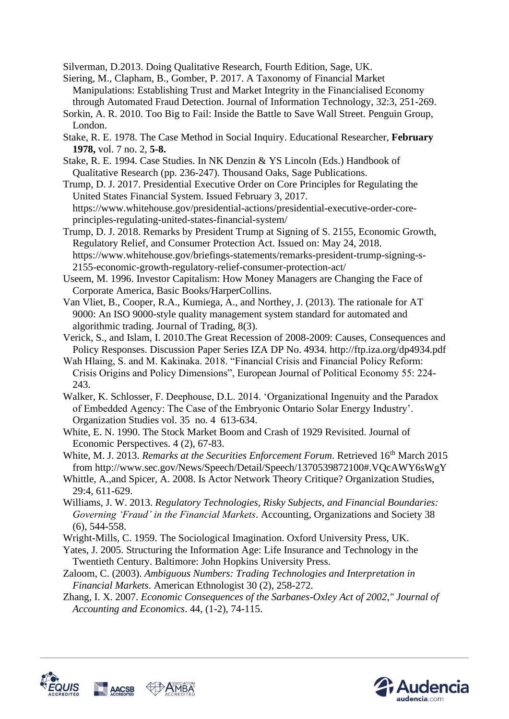Silverman, D.2013. Doing Qualitative Research, Fourth Edition, Sage, UK.

- Siering, M., Clapham, B., Gomber, P. 2017. A Taxonomy of Financial Market Manipulations: Establishing Trust and Market Integrity in the Financialised Economy through Automated Fraud Detection. Journal of Information Technology, 32:3, 251-269.
- Sorkin, A. R. 2010. Too Big to Fail: Inside the Battle to Save Wall Street. Penguin Group, London.
- Stake, R. E. 1978. The Case Method in Social Inquiry. Educational Researcher, **February 1978,** vol. 7 no. 2, **5-8.**
- Stake, R. E. 1994. Case Studies. In NK Denzin & YS Lincoln (Eds.) Handbook of Qualitative Research (pp. 236-247). Thousand Oaks, Sage Publications.
- Trump, D. J. 2017. Presidential Executive Order on Core Principles for Regulating the United States Financial System. Issued February 3, 2017. https://www.whitehouse.gov/presidential-actions/presidential-executive-order-coreprinciples-regulating-united-states-financial-system/
- Trump, D. J. 2018. Remarks by President Trump at Signing of S. 2155, Economic Growth, Regulatory Relief, and Consumer Protection Act. Issued on: May 24, 2018. https://www.whitehouse.gov/briefings-statements/remarks-president-trump-signing-s-2155-economic-growth-regulatory-relief-consumer-protection-act/
- Useem, M. 1996. Investor Capitalism: How Money Managers are Changing the Face of Corporate America, Basic Books/HarperCollins.
- Van Vliet, B., Cooper, R.A., Kumiega, A., and Northey, J. (2013). The rationale for AT 9000: An ISO 9000-style quality management system standard for automated and algorithmic trading. Journal of Trading, 8(3).
- Verick, S., and Islam, I. 2010.The Great Recession of 2008-2009: Causes, Consequences and Policy Responses. Discussion Paper Series IZA DP No. 4934. http://ftp.iza.org/dp4934.pdf
- Wah Hlaing, S. and M. Kakinaka. 2018. "Financial Crisis and Financial Policy Reform: Crisis Origins and Policy Dimensions", European Journal of Political Economy 55: 224- 243.
- Walker, K. Schlosser, F. Deephouse, D.L. 2014. 'Organizational Ingenuity and the Paradox of Embedded Agency: The Case of the Embryonic Ontario Solar Energy Industry'. Organization Studies vol. 35 no. 4 613-634.
- White, E. N. 1990. The Stock Market Boom and Crash of 1929 Revisited. Journal of Economic Perspectives. 4 (2), 67-83.
- White, M. J. 2013. *Remarks at the Securities Enforcement Forum*. Retrieved 16<sup>th</sup> March 2015 from http://www.sec.gov/News/Speech/Detail/Speech/1370539872100#.VQcAWY6sWgY
- Whittle, A.,and Spicer, A. 2008. Is Actor Network Theory Critique? Organization Studies, 29:4, 611-629.
- Williams, J. W. 2013. *Regulatory Technologies, Risky Subjects, and Financial Boundaries: Governing 'Fraud' in the Financial Markets*. Accounting, Organizations and Society 38 (6), 544-558.
- Wright-Mills, C. 1959. The Sociological Imagination. Oxford University Press, UK.
- Yates, J. 2005. Structuring the Information Age: Life Insurance and Technology in the Twentieth Century. Baltimore: John Hopkins University Press.
- Zaloom, C. (2003). *Ambiguous Numbers: Trading Technologies and Interpretation in Financial Markets*. American Ethnologist 30 (2), 258-272.
- Zhang, I. X. 2007. *Economic Consequences of the Sarbanes-Oxley Act of 2002," Journal of Accounting and Economics*. 44, (1-2), 74-115.